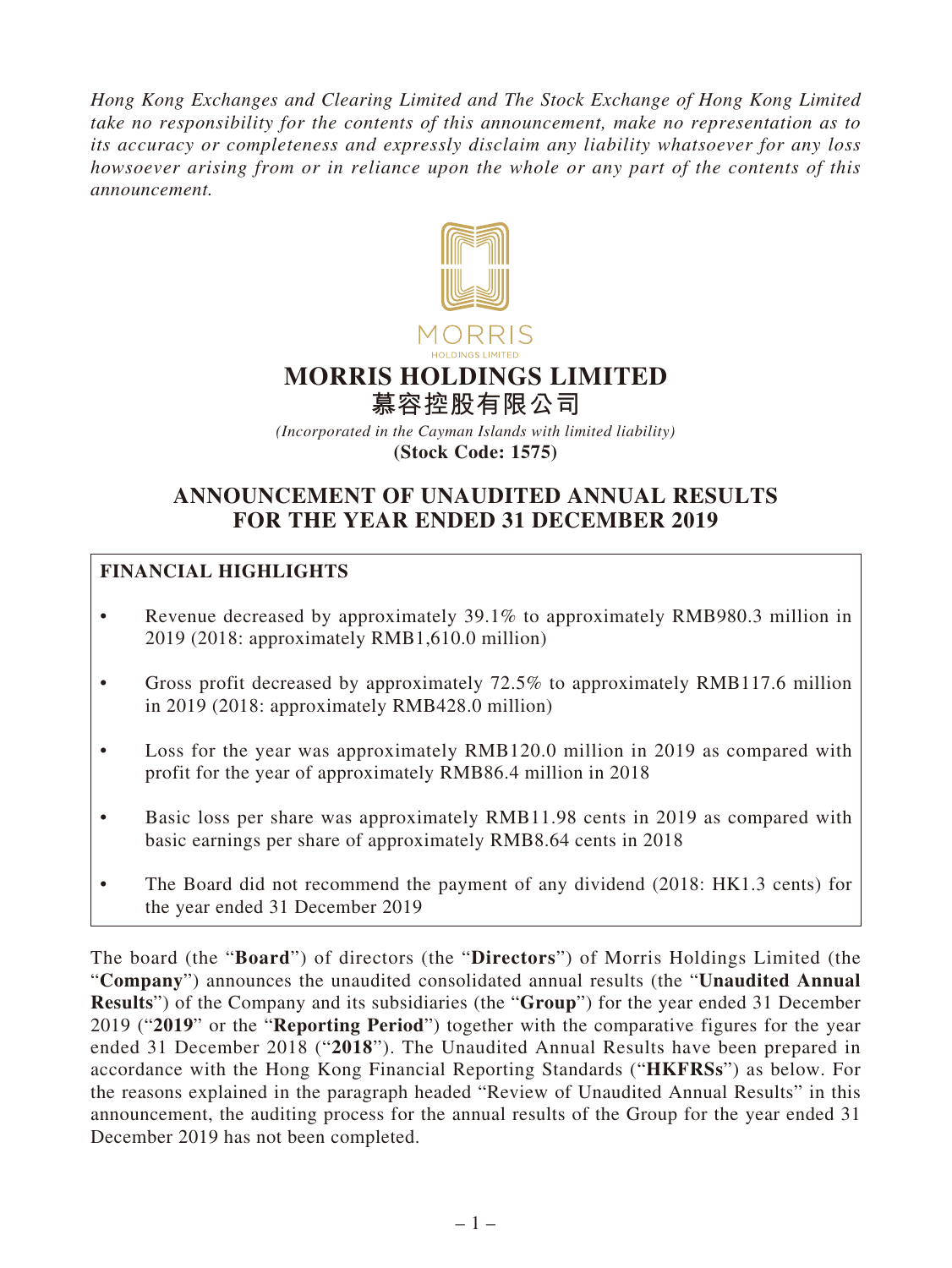*Hong Kong Exchanges and Clearing Limited and The Stock Exchange of Hong Kong Limited take no responsibility for the contents of this announcement, make no representation as to its accuracy or completeness and expressly disclaim any liability whatsoever for any loss howsoever arising from or in reliance upon the whole or any part of the contents of this announcement.*



# **MORRIS HOLDINGS LIMITED**

**慕容控股有限公司**

*(Incorporated in the Cayman Islands with limited liability)* **(Stock Code: 1575)**

# **ANNOUNCEMENT OF UNAUDITED ANNUAL RESULTS FOR THE YEAR ENDED 31 DECEMBER 2019**

# **FINANCIAL HIGHLIGHTS**

- Revenue decreased by approximately 39.1% to approximately RMB980.3 million in 2019 (2018: approximately RMB1,610.0 million)
- Gross profit decreased by approximately 72.5% to approximately RMB117.6 million in 2019 (2018: approximately RMB428.0 million)
- Loss for the year was approximately RMB120.0 million in 2019 as compared with profit for the year of approximately RMB86.4 million in 2018
- Basic loss per share was approximately RMB11.98 cents in 2019 as compared with basic earnings per share of approximately RMB8.64 cents in 2018
- The Board did not recommend the payment of any dividend (2018: HK1.3 cents) for the year ended 31 December 2019

The board (the "**Board**") of directors (the "**Directors**") of Morris Holdings Limited (the "**Company**") announces the unaudited consolidated annual results (the "**Unaudited Annual Results**") of the Company and its subsidiaries (the "**Group**") for the year ended 31 December 2019 ("**2019**" or the "**Reporting Period**") together with the comparative figures for the year ended 31 December 2018 ("**2018**"). The Unaudited Annual Results have been prepared in accordance with the Hong Kong Financial Reporting Standards ("**HKFRSs**") as below. For the reasons explained in the paragraph headed "Review of Unaudited Annual Results" in this announcement, the auditing process for the annual results of the Group for the year ended 31 December 2019 has not been completed.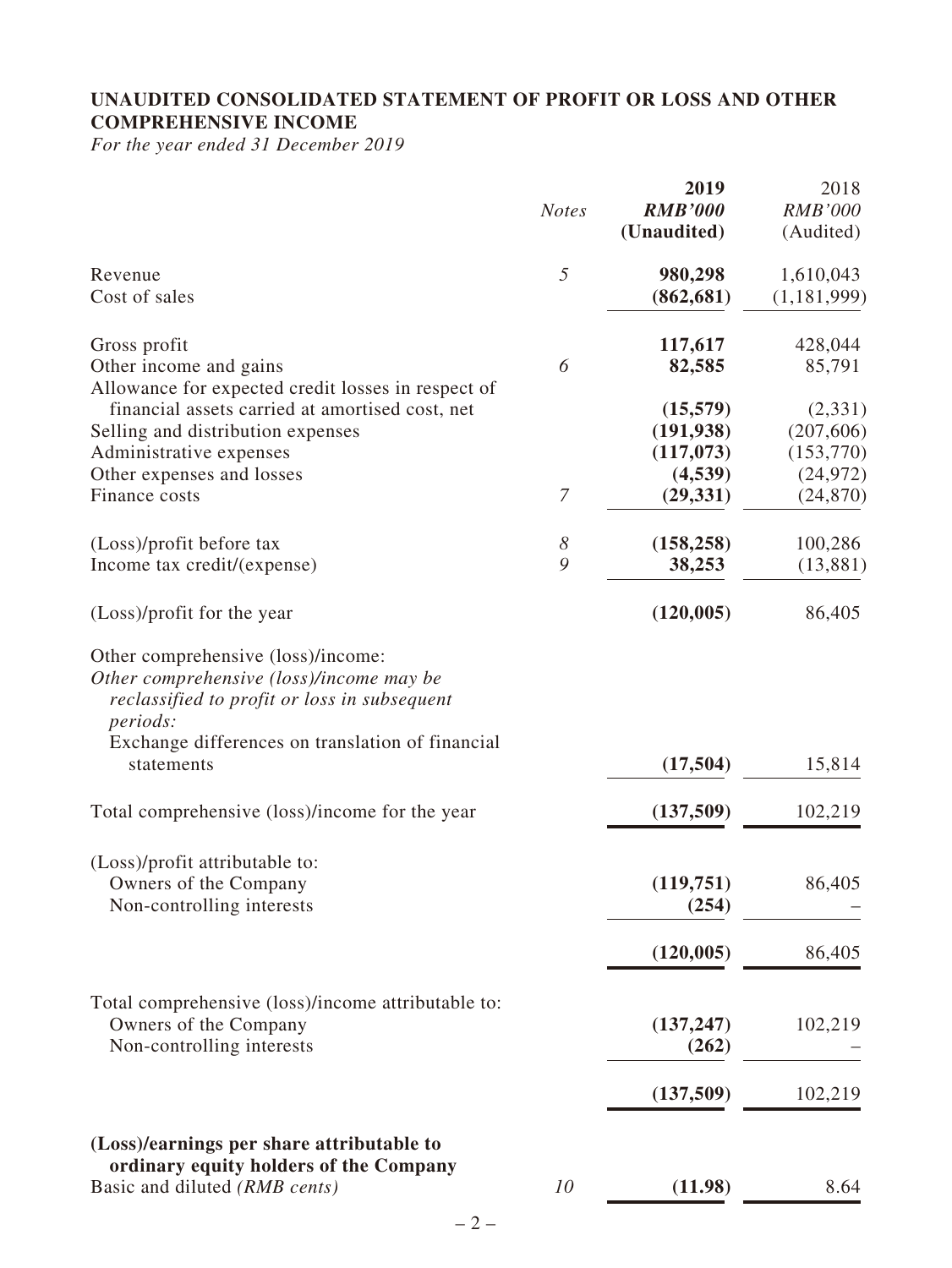# **UNAUDITED CONSOLIDATED STATEMENT OF PROFIT OR LOSS AND OTHER COMPREHENSIVE INCOME**

*For the year ended 31 December 2019*

|                                                                                                                                                                                                                     | <b>Notes</b>               | 2019<br><b>RMB'000</b><br>(Unaudited) | 2018<br><b>RMB'000</b><br>(Audited) |
|---------------------------------------------------------------------------------------------------------------------------------------------------------------------------------------------------------------------|----------------------------|---------------------------------------|-------------------------------------|
| Revenue<br>Cost of sales                                                                                                                                                                                            | 5                          | 980,298<br>(862, 681)                 | 1,610,043<br>(1, 181, 999)          |
| Gross profit<br>Other income and gains<br>Allowance for expected credit losses in respect of                                                                                                                        | 6                          | 117,617<br>82,585                     | 428,044<br>85,791                   |
| financial assets carried at amortised cost, net<br>Selling and distribution expenses<br>Administrative expenses                                                                                                     |                            | (15,579)<br>(191, 938)<br>(117,073)   | (2,331)<br>(207, 606)<br>(153,770)  |
| Other expenses and losses<br>Finance costs                                                                                                                                                                          | $\boldsymbol{7}$           | (4,539)<br>(29, 331)                  | (24, 972)<br>(24, 870)              |
| (Loss)/profit before tax<br>Income tax credit/(expense)                                                                                                                                                             | $\boldsymbol{\delta}$<br>9 | (158, 258)<br>38,253                  | 100,286<br>(13,881)                 |
| (Loss)/profit for the year                                                                                                                                                                                          |                            | (120, 005)                            | 86,405                              |
| Other comprehensive (loss)/income:<br>Other comprehensive (loss)/income may be<br>reclassified to profit or loss in subsequent<br><i>periods:</i><br>Exchange differences on translation of financial<br>statements |                            | (17,504)                              | 15,814                              |
| Total comprehensive (loss)/income for the year                                                                                                                                                                      |                            | (137,509)                             | 102,219                             |
| (Loss)/profit attributable to:<br>Owners of the Company<br>Non-controlling interests                                                                                                                                |                            | (119,751)<br>(254)                    | 86,405                              |
|                                                                                                                                                                                                                     |                            | (120, 005)                            | 86,405                              |
| Total comprehensive (loss)/income attributable to:<br>Owners of the Company<br>Non-controlling interests                                                                                                            |                            | (137, 247)<br>(262)                   | 102,219                             |
|                                                                                                                                                                                                                     |                            | (137,509)                             | 102,219                             |
| (Loss)/earnings per share attributable to<br>ordinary equity holders of the Company                                                                                                                                 |                            |                                       |                                     |
| Basic and diluted (RMB cents)                                                                                                                                                                                       | 10                         | (11.98)                               | 8.64                                |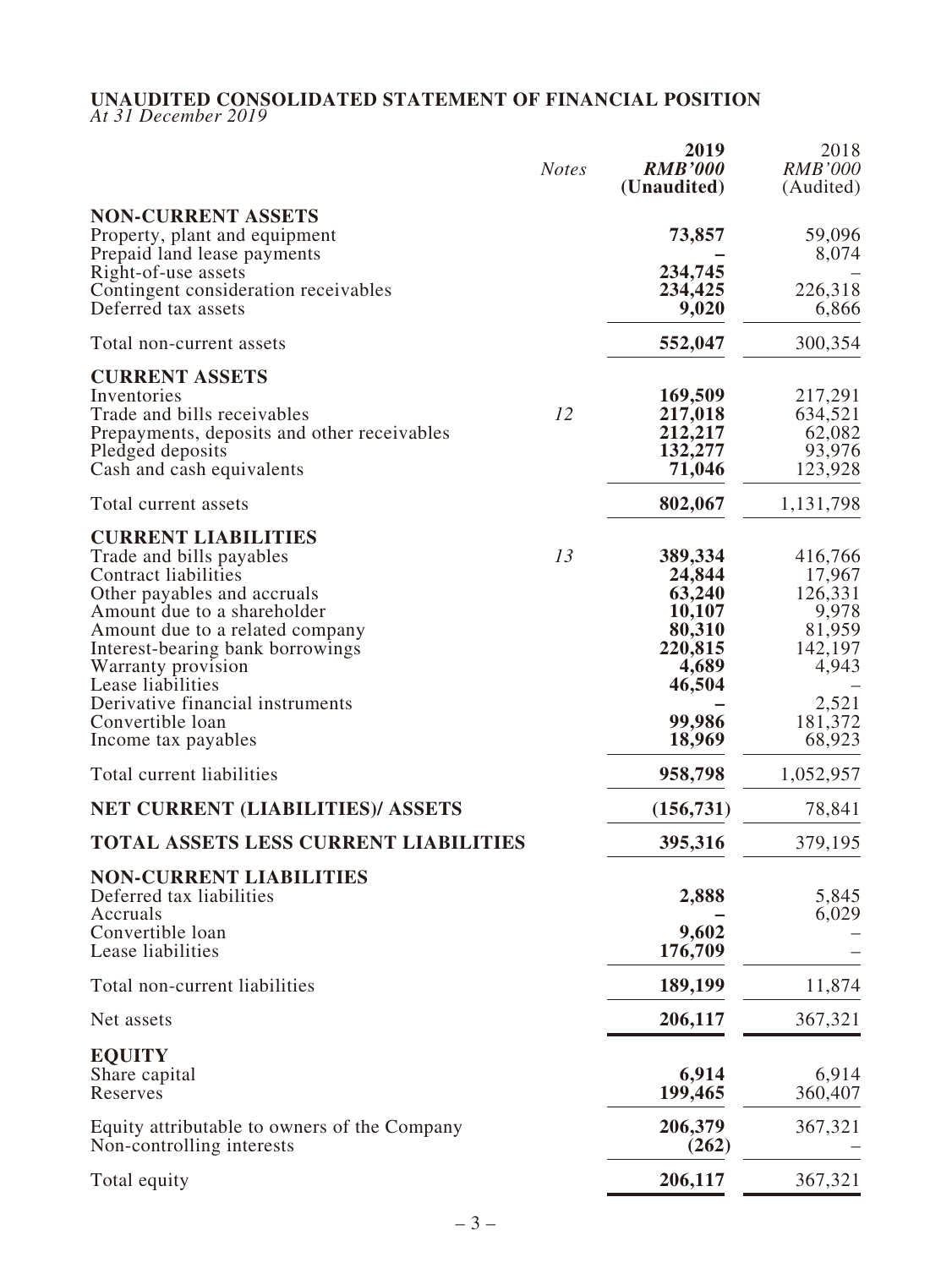# **UNAUDITED CONSOLIDATED STATEMENT OF FINANCIAL POSITION**

*At 31 December 2019*

|                                                                                    | <b>Notes</b> | 2019<br><b>RMB'000</b><br>(Unaudited) | 2018<br><b>RMB'000</b><br>(Audited) |
|------------------------------------------------------------------------------------|--------------|---------------------------------------|-------------------------------------|
| <b>NON-CURRENT ASSETS</b>                                                          |              |                                       |                                     |
| Property, plant and equipment<br>Prepaid land lease payments                       |              | 73,857                                | 59,096<br>8,074                     |
| Right-of-use assets<br>Contingent consideration receivables<br>Deferred tax assets |              | 234,745<br>234,425<br>9,020           | 226,318<br>6,866                    |
| Total non-current assets                                                           |              | 552,047                               | 300,354                             |
| <b>CURRENT ASSETS</b>                                                              |              |                                       |                                     |
| Inventories                                                                        | 12           | 169,509                               | 217,291                             |
| Trade and bills receivables<br>Prepayments, deposits and other receivables         |              | 217,018<br>212,217                    | 634,521<br>62,082                   |
| Pledged deposits                                                                   |              | 132,277                               | 93,976                              |
| Cash and cash equivalents                                                          |              | 71,046                                | 123,928                             |
| Total current assets                                                               |              | 802,067                               | 1,131,798                           |
| <b>CURRENT LIABILITIES</b>                                                         |              |                                       |                                     |
| Trade and bills payables<br>Contract liabilities                                   | 13           | 389,334<br>24,844                     | 416,766<br>17,967                   |
| Other payables and accruals                                                        |              | 63,240                                | 126,331                             |
| Amount due to a shareholder                                                        |              | 10,107                                | 9,978                               |
| Amount due to a related company                                                    |              | 80,310                                | 81,959                              |
| Interest-bearing bank borrowings                                                   |              | 220,815                               | 142,197                             |
| Warranty provision                                                                 |              | 4,689                                 | 4,943                               |
| Lease liabilities<br>Derivative financial instruments                              |              | 46,504                                | 2,521                               |
| Convertible loan                                                                   |              | 99,986                                | 181,372                             |
| Income tax payables                                                                |              | 18,969                                | 68,923                              |
| Total current liabilities                                                          |              | 958,798                               | 1,052,957                           |
| <b>NET CURRENT (LIABILITIES)/ ASSETS</b>                                           |              | (156, 731)                            | 78,841                              |
| <b>TOTAL ASSETS LESS CURRENT LIABILITIES</b>                                       |              | 395,316                               | 379,195                             |
| <b>NON-CURRENT LIABILITIES</b>                                                     |              |                                       |                                     |
| Deferred tax liabilities<br>Accruals                                               |              | 2,888                                 | 5,845<br>6,029                      |
| Convertible loan                                                                   |              | 9,602                                 |                                     |
| Lease liabilities                                                                  |              | 176,709                               |                                     |
| Total non-current liabilities                                                      |              | 189,199                               | 11,874                              |
| Net assets                                                                         |              | 206,117                               | 367,321                             |
| <b>EQUITY</b>                                                                      |              |                                       |                                     |
| Share capital                                                                      |              | 6,914                                 | 6,914                               |
| Reserves                                                                           |              | 199,465                               | 360,407                             |
| Equity attributable to owners of the Company<br>Non-controlling interests          |              | 206,379<br>(262)                      | 367,321                             |
| Total equity                                                                       |              | 206,117                               | 367,321                             |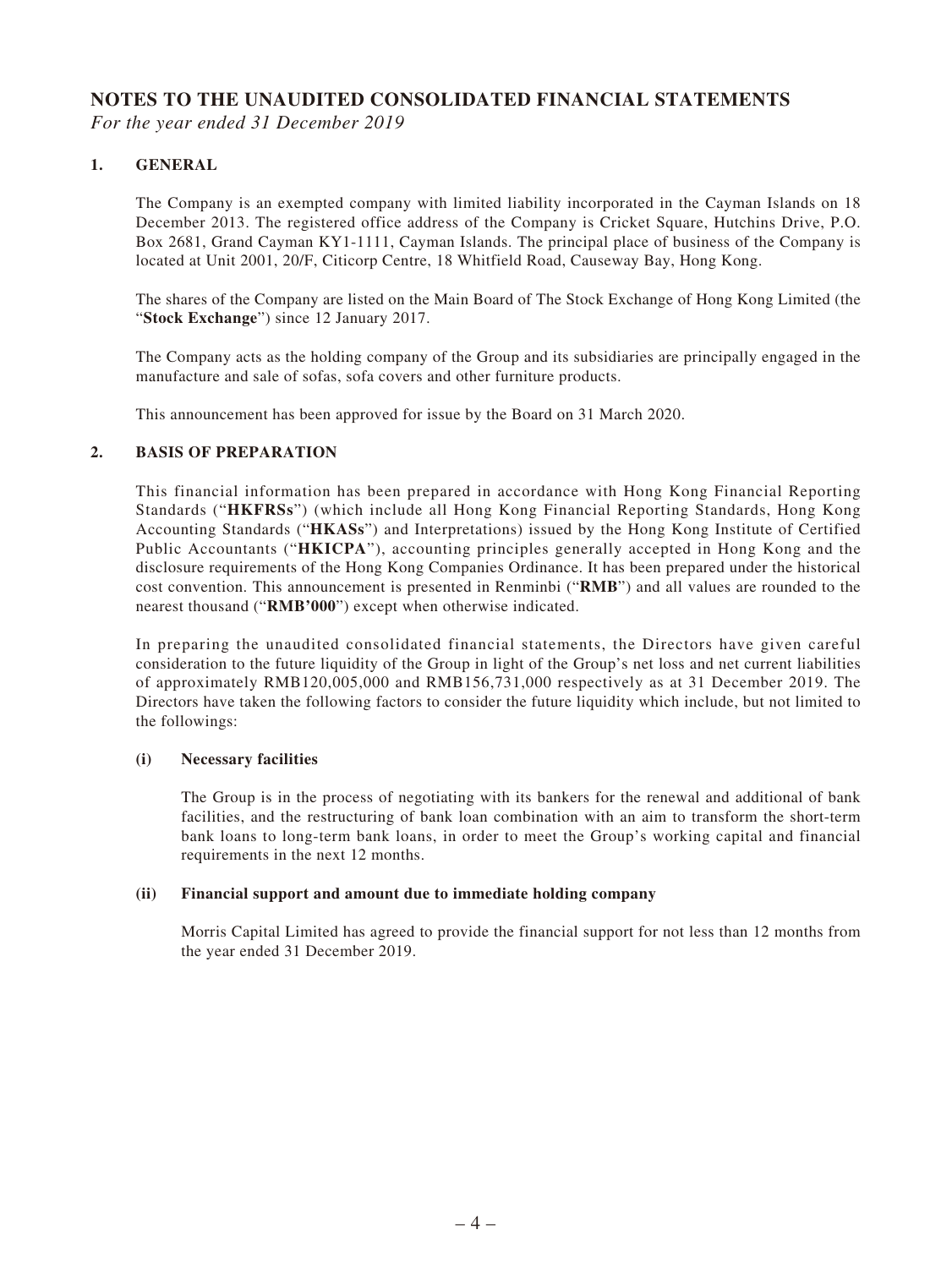# **NOTES TO THE UNAUDITED CONSOLIDATED FINANCIAL STATEMENTS**

*For the year ended 31 December 2019*

#### **1. GENERAL**

The Company is an exempted company with limited liability incorporated in the Cayman Islands on 18 December 2013. The registered office address of the Company is Cricket Square, Hutchins Drive, P.O. Box 2681, Grand Cayman KY1-1111, Cayman Islands. The principal place of business of the Company is located at Unit 2001, 20/F, Citicorp Centre, 18 Whitfield Road, Causeway Bay, Hong Kong.

The shares of the Company are listed on the Main Board of The Stock Exchange of Hong Kong Limited (the "**Stock Exchange**") since 12 January 2017.

The Company acts as the holding company of the Group and its subsidiaries are principally engaged in the manufacture and sale of sofas, sofa covers and other furniture products.

This announcement has been approved for issue by the Board on 31 March 2020.

#### **2. BASIS OF PREPARATION**

This financial information has been prepared in accordance with Hong Kong Financial Reporting Standards ("**HKFRSs**") (which include all Hong Kong Financial Reporting Standards, Hong Kong Accounting Standards ("**HKASs**") and Interpretations) issued by the Hong Kong Institute of Certified Public Accountants ("**HKICPA**"), accounting principles generally accepted in Hong Kong and the disclosure requirements of the Hong Kong Companies Ordinance. It has been prepared under the historical cost convention. This announcement is presented in Renminbi ("**RMB**") and all values are rounded to the nearest thousand ("**RMB'000**") except when otherwise indicated.

In preparing the unaudited consolidated financial statements, the Directors have given careful consideration to the future liquidity of the Group in light of the Group's net loss and net current liabilities of approximately RMB120,005,000 and RMB156,731,000 respectively as at 31 December 2019. The Directors have taken the following factors to consider the future liquidity which include, but not limited to the followings:

#### **(i) Necessary facilities**

The Group is in the process of negotiating with its bankers for the renewal and additional of bank facilities, and the restructuring of bank loan combination with an aim to transform the short-term bank loans to long-term bank loans, in order to meet the Group's working capital and financial requirements in the next 12 months.

#### **(ii) Financial support and amount due to immediate holding company**

Morris Capital Limited has agreed to provide the financial support for not less than 12 months from the year ended 31 December 2019.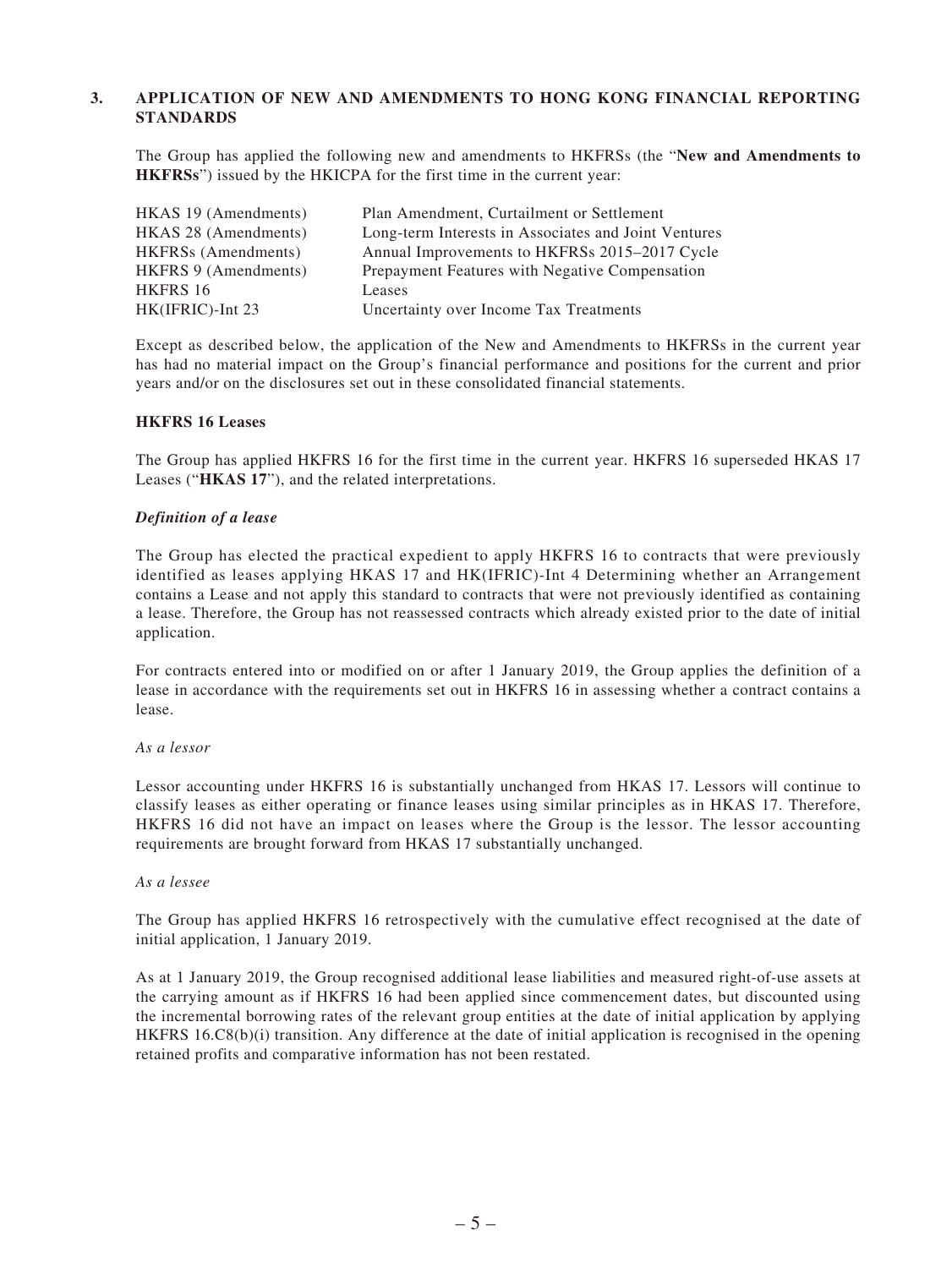#### **3. APPLICATION OF NEW AND AMENDMENTS TO HONG KONG FINANCIAL REPORTING STANDARDS**

The Group has applied the following new and amendments to HKFRSs (the "**New and Amendments to HKFRSs**") issued by the HKICPA for the first time in the current year:

| HKAS 19 (Amendments)       | Plan Amendment, Curtailment or Settlement            |
|----------------------------|------------------------------------------------------|
| HKAS 28 (Amendments)       | Long-term Interests in Associates and Joint Ventures |
| <b>HKFRSs</b> (Amendments) | Annual Improvements to HKFRSs 2015-2017 Cycle        |
| HKFRS 9 (Amendments)       | Prepayment Features with Negative Compensation       |
| HKFRS 16                   | Leases                                               |
| HK(IFRIC)-Int 23           | Uncertainty over Income Tax Treatments               |
|                            |                                                      |

Except as described below, the application of the New and Amendments to HKFRSs in the current year has had no material impact on the Group's financial performance and positions for the current and prior years and/or on the disclosures set out in these consolidated financial statements.

#### **HKFRS 16 Leases**

The Group has applied HKFRS 16 for the first time in the current year. HKFRS 16 superseded HKAS 17 Leases ("**HKAS 17**"), and the related interpretations.

#### *Definition of a lease*

The Group has elected the practical expedient to apply HKFRS 16 to contracts that were previously identified as leases applying HKAS 17 and HK(IFRIC)-Int 4 Determining whether an Arrangement contains a Lease and not apply this standard to contracts that were not previously identified as containing a lease. Therefore, the Group has not reassessed contracts which already existed prior to the date of initial application.

For contracts entered into or modified on or after 1 January 2019, the Group applies the definition of a lease in accordance with the requirements set out in HKFRS 16 in assessing whether a contract contains a lease.

#### *As a lessor*

Lessor accounting under HKFRS 16 is substantially unchanged from HKAS 17. Lessors will continue to classify leases as either operating or finance leases using similar principles as in HKAS 17. Therefore, HKFRS 16 did not have an impact on leases where the Group is the lessor. The lessor accounting requirements are brought forward from HKAS 17 substantially unchanged.

#### *As a lessee*

The Group has applied HKFRS 16 retrospectively with the cumulative effect recognised at the date of initial application, 1 January 2019.

As at 1 January 2019, the Group recognised additional lease liabilities and measured right-of-use assets at the carrying amount as if HKFRS 16 had been applied since commencement dates, but discounted using the incremental borrowing rates of the relevant group entities at the date of initial application by applying HKFRS 16.C8(b)(i) transition. Any difference at the date of initial application is recognised in the opening retained profits and comparative information has not been restated.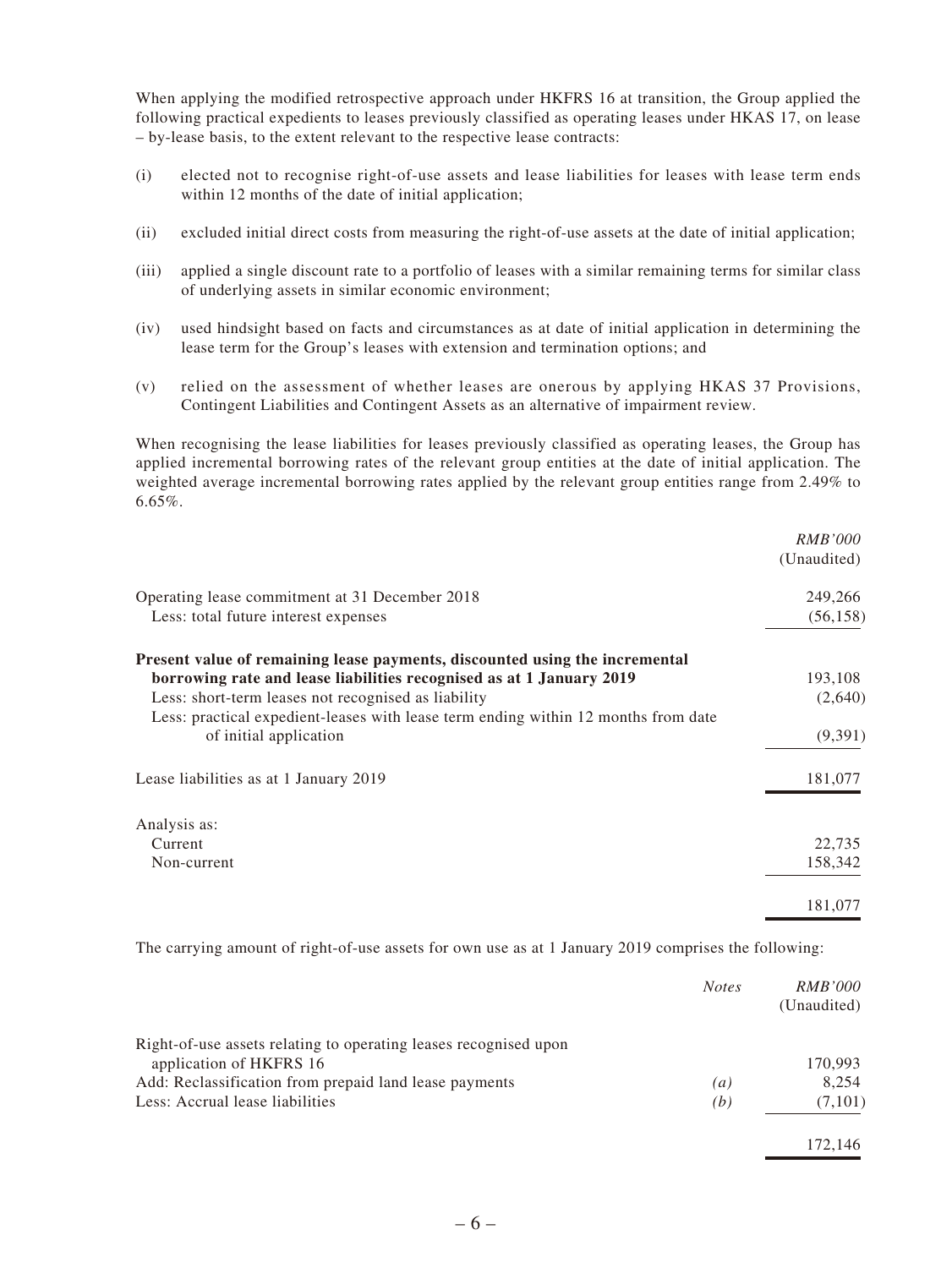When applying the modified retrospective approach under HKFRS 16 at transition, the Group applied the following practical expedients to leases previously classified as operating leases under HKAS 17, on lease – by-lease basis, to the extent relevant to the respective lease contracts:

- (i) elected not to recognise right-of-use assets and lease liabilities for leases with lease term ends within 12 months of the date of initial application;
- (ii) excluded initial direct costs from measuring the right-of-use assets at the date of initial application;
- (iii) applied a single discount rate to a portfolio of leases with a similar remaining terms for similar class of underlying assets in similar economic environment;
- (iv) used hindsight based on facts and circumstances as at date of initial application in determining the lease term for the Group's leases with extension and termination options; and
- (v) relied on the assessment of whether leases are onerous by applying HKAS 37 Provisions, Contingent Liabilities and Contingent Assets as an alternative of impairment review.

When recognising the lease liabilities for leases previously classified as operating leases, the Group has applied incremental borrowing rates of the relevant group entities at the date of initial application. The weighted average incremental borrowing rates applied by the relevant group entities range from 2.49% to 6.65%.

|                                                                                    | <i>RMB'000</i><br>(Unaudited) |
|------------------------------------------------------------------------------------|-------------------------------|
| Operating lease commitment at 31 December 2018                                     | 249,266                       |
| Less: total future interest expenses                                               | (56, 158)                     |
| Present value of remaining lease payments, discounted using the incremental        |                               |
| borrowing rate and lease liabilities recognised as at 1 January 2019               | 193,108                       |
| Less: short-term leases not recognised as liability                                | (2,640)                       |
| Less: practical expedient-leases with lease term ending within 12 months from date |                               |
| of initial application                                                             | (9,391)                       |
| Lease liabilities as at 1 January 2019                                             | 181,077                       |
| Analysis as:                                                                       |                               |
| Current                                                                            | 22,735                        |
| Non-current                                                                        | 158,342                       |
|                                                                                    | 181,077                       |

The carrying amount of right-of-use assets for own use as at 1 January 2019 comprises the following:

|                                                                  | <b>Notes</b>     | <i>RMB'000</i><br>(Unaudited) |
|------------------------------------------------------------------|------------------|-------------------------------|
| Right-of-use assets relating to operating leases recognised upon |                  |                               |
| application of HKFRS 16                                          |                  | 170.993                       |
| Add: Reclassification from prepaid land lease payments           | $\left(a\right)$ | 8,254                         |
| Less: Accrual lease liabilities                                  | (b)              | (7,101)                       |
|                                                                  |                  | 172.146                       |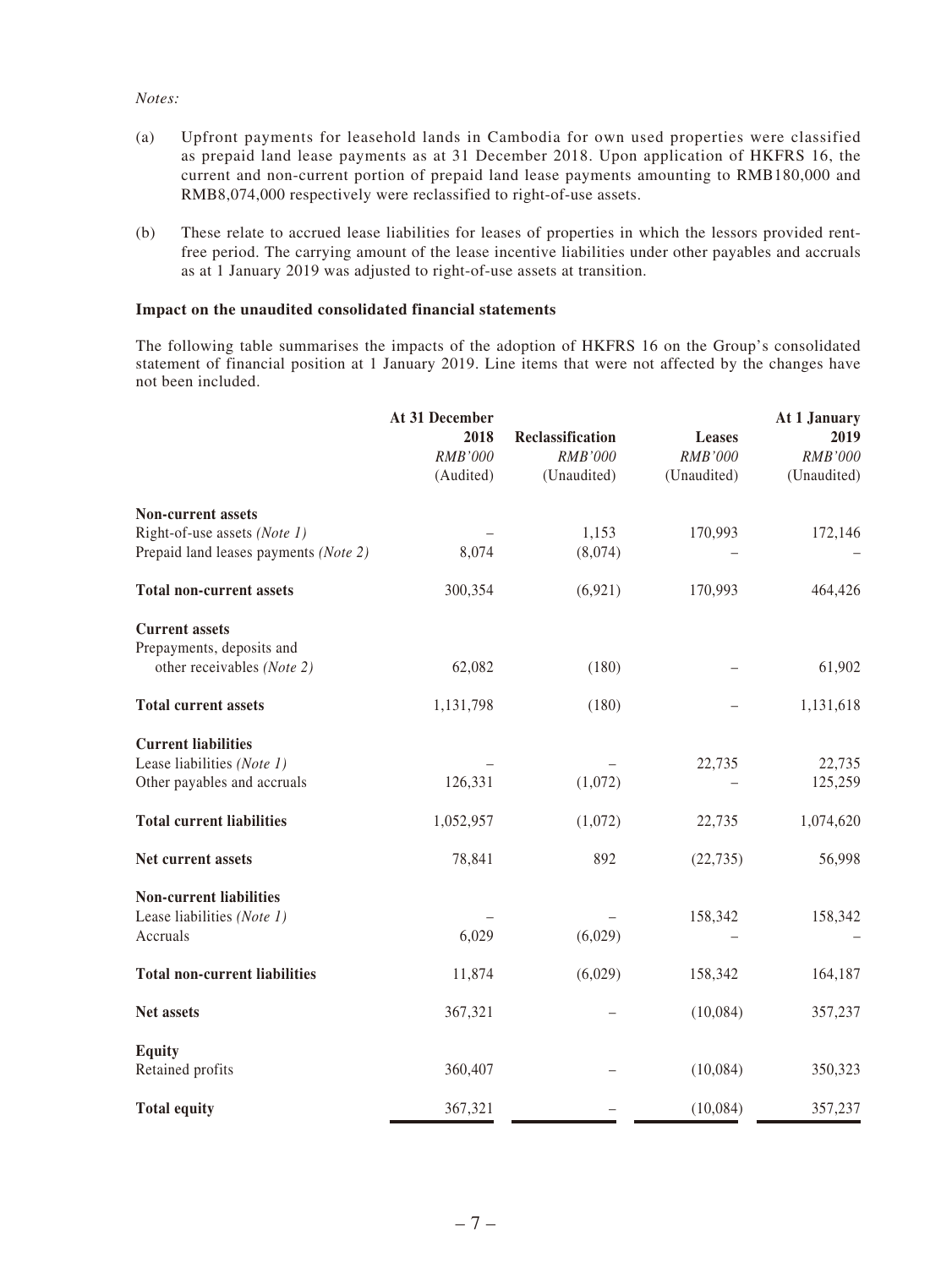#### *Notes:*

- (a) Upfront payments for leasehold lands in Cambodia for own used properties were classified as prepaid land lease payments as at 31 December 2018. Upon application of HKFRS 16, the current and non-current portion of prepaid land lease payments amounting to RMB180,000 and RMB8,074,000 respectively were reclassified to right-of-use assets.
- (b) These relate to accrued lease liabilities for leases of properties in which the lessors provided rentfree period. The carrying amount of the lease incentive liabilities under other payables and accruals as at 1 January 2019 was adjusted to right-of-use assets at transition.

#### **Impact on the unaudited consolidated financial statements**

The following table summarises the impacts of the adoption of HKFRS 16 on the Group's consolidated statement of financial position at 1 January 2019. Line items that were not affected by the changes have not been included.

|                                                                                                                             | At 31 December<br>2018<br>RMB'000<br>(Audited) | Reclassification<br>RMB'000<br>(Unaudited) | Leases<br>RMB'000<br>(Unaudited) | At 1 January<br>2019<br>RMB'000<br>(Unaudited) |
|-----------------------------------------------------------------------------------------------------------------------------|------------------------------------------------|--------------------------------------------|----------------------------------|------------------------------------------------|
| <b>Non-current assets</b><br>Right-of-use assets (Note 1)<br>Prepaid land leases payments (Note 2)                          | 8,074                                          | 1,153<br>(8,074)                           | 170,993                          | 172,146                                        |
| <b>Total non-current assets</b>                                                                                             | 300,354                                        | (6, 921)                                   | 170,993                          | 464,426                                        |
| <b>Current assets</b><br>Prepayments, deposits and<br>other receivables (Note 2)                                            | 62,082                                         | (180)                                      |                                  | 61,902                                         |
| <b>Total current assets</b>                                                                                                 | 1,131,798                                      | (180)                                      |                                  | 1,131,618                                      |
| <b>Current liabilities</b><br>Lease liabilities (Note 1)<br>Other payables and accruals<br><b>Total current liabilities</b> | 126,331<br>1,052,957                           | (1,072)<br>(1,072)                         | 22,735<br>22,735                 | 22,735<br>125,259<br>1,074,620                 |
| Net current assets<br><b>Non-current liabilities</b><br>Lease liabilities (Note 1)<br>Accruals                              | 78,841<br>6,029                                | 892<br>(6,029)                             | (22, 735)<br>158,342             | 56,998<br>158,342                              |
| <b>Total non-current liabilities</b>                                                                                        | 11,874                                         | (6,029)                                    | 158,342                          | 164,187                                        |
| <b>Net assets</b>                                                                                                           | 367,321                                        |                                            | (10,084)                         | 357,237                                        |
| <b>Equity</b><br>Retained profits                                                                                           | 360,407                                        |                                            | (10,084)                         | 350,323                                        |
| <b>Total equity</b>                                                                                                         | 367,321                                        |                                            | (10,084)                         | 357,237                                        |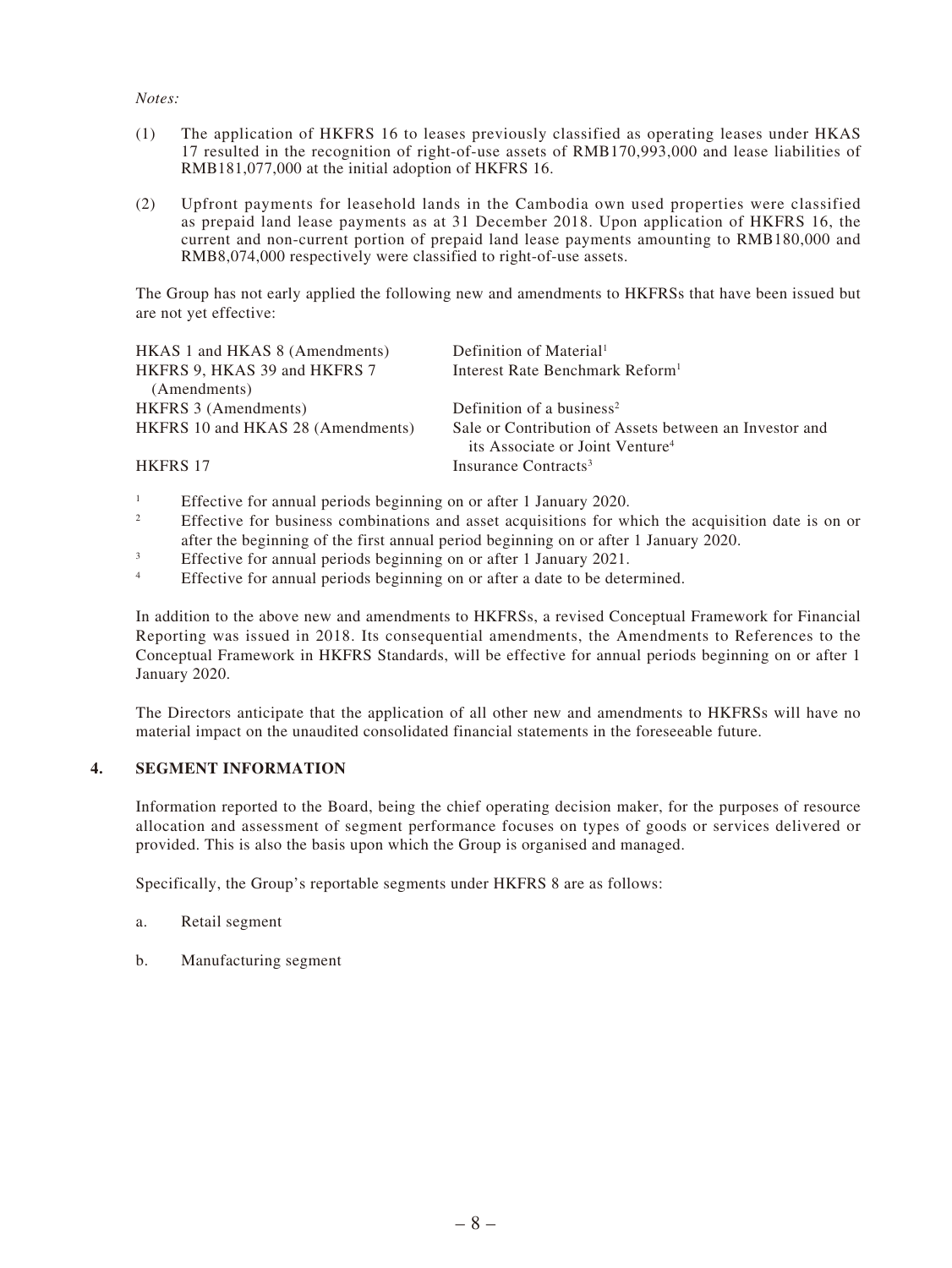#### *Notes:*

- (1) The application of HKFRS 16 to leases previously classified as operating leases under HKAS 17 resulted in the recognition of right-of-use assets of RMB170,993,000 and lease liabilities of RMB181,077,000 at the initial adoption of HKFRS 16.
- (2) Upfront payments for leasehold lands in the Cambodia own used properties were classified as prepaid land lease payments as at 31 December 2018. Upon application of HKFRS 16, the current and non-current portion of prepaid land lease payments amounting to RMB180,000 and RMB8,074,000 respectively were classified to right-of-use assets.

The Group has not early applied the following new and amendments to HKFRSs that have been issued but are not yet effective:

| HKAS 1 and HKAS 8 (Amendments)<br>HKFRS 9, HKAS 39 and HKFRS 7 | Definition of Material <sup>1</sup><br>Interest Rate Benchmark Reform <sup>1</sup>                    |
|----------------------------------------------------------------|-------------------------------------------------------------------------------------------------------|
| (Amendments)                                                   |                                                                                                       |
| <b>HKFRS 3 (Amendments)</b>                                    | Definition of a business <sup>2</sup>                                                                 |
| HKFRS 10 and HKAS 28 (Amendments)                              | Sale or Contribution of Assets between an Investor and<br>its Associate or Joint Venture <sup>4</sup> |
| <b>HKFRS 17</b>                                                | Insurance Contracts <sup>3</sup>                                                                      |

- 1 Effective for annual periods beginning on or after 1 January 2020.
- 2 Effective for business combinations and asset acquisitions for which the acquisition date is on or after the beginning of the first annual period beginning on or after 1 January 2020.
- 3 Effective for annual periods beginning on or after 1 January 2021.
- 4 Effective for annual periods beginning on or after a date to be determined.

In addition to the above new and amendments to HKFRSs, a revised Conceptual Framework for Financial Reporting was issued in 2018. Its consequential amendments, the Amendments to References to the Conceptual Framework in HKFRS Standards, will be effective for annual periods beginning on or after 1 January 2020.

The Directors anticipate that the application of all other new and amendments to HKFRSs will have no material impact on the unaudited consolidated financial statements in the foreseeable future.

#### **4. SEGMENT INFORMATION**

Information reported to the Board, being the chief operating decision maker, for the purposes of resource allocation and assessment of segment performance focuses on types of goods or services delivered or provided. This is also the basis upon which the Group is organised and managed.

Specifically, the Group's reportable segments under HKFRS 8 are as follows:

- a. Retail segment
- b. Manufacturing segment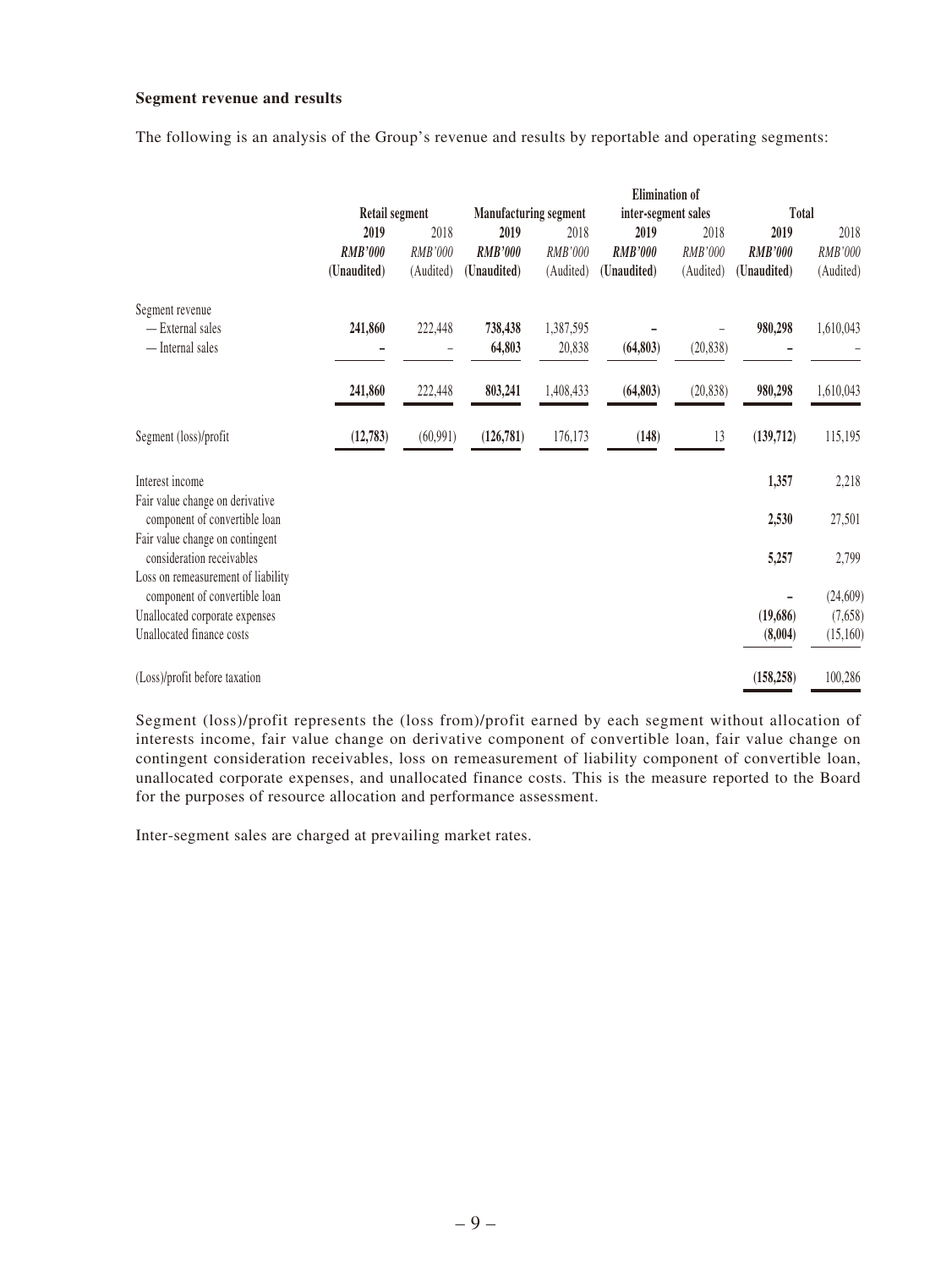#### **Segment revenue and results**

The following is an analysis of the Group's revenue and results by reportable and operating segments:

|                                                                     |                       |           |                |                                                     | <b>Elimination</b> of |           |                |           |
|---------------------------------------------------------------------|-----------------------|-----------|----------------|-----------------------------------------------------|-----------------------|-----------|----------------|-----------|
|                                                                     | <b>Retail segment</b> |           |                | <b>Manufacturing segment</b><br>inter-segment sales |                       |           | Total          |           |
|                                                                     | 2019                  | 2018      | 2019           | 2018                                                | 2019                  | 2018      | 2019           | 2018      |
|                                                                     | <b>RMB'000</b>        | RMB'000   | <b>RMB'000</b> | RMB'000                                             | <b>RMB'000</b>        | RMB'000   | <b>RMB'000</b> | RMB'000   |
|                                                                     | (Unaudited)           | (Audited) | (Unaudited)    | (Audited)                                           | (Unaudited)           | (Audited) | (Unaudited)    | (Audited) |
| Segment revenue                                                     |                       |           |                |                                                     |                       |           |                |           |
| - External sales                                                    | 241,860               | 222,448   | 738,438        | 1,387,595                                           |                       |           | 980,298        | 1,610,043 |
| — Internal sales                                                    |                       |           | 64,803         | 20,838                                              | (64, 803)             | (20, 838) |                |           |
|                                                                     | 241,860               | 222,448   | 803,241        | 1,408,433                                           | (64, 803)             | (20, 838) | 980,298        | 1,610,043 |
| Segment (loss)/profit                                               | (12, 783)             | (60, 991) | (126, 781)     | 176,173                                             | (148)                 | 13        | (139,712)      | 115,195   |
| Interest income                                                     |                       |           |                |                                                     |                       |           | 1,357          | 2,218     |
| Fair value change on derivative<br>component of convertible loan    |                       |           |                |                                                     |                       |           | 2,530          | 27,501    |
| Fair value change on contingent<br>consideration receivables        |                       |           |                |                                                     |                       |           | 5,257          | 2,799     |
| Loss on remeasurement of liability<br>component of convertible loan |                       |           |                |                                                     |                       |           |                | (24, 609) |
| Unallocated corporate expenses                                      |                       |           |                |                                                     |                       |           | (19,686)       | (7,658)   |
| Unallocated finance costs                                           |                       |           |                |                                                     |                       |           | (8,004)        | (15,160)  |
| (Loss)/profit before taxation                                       |                       |           |                |                                                     |                       |           | (158, 258)     | 100,286   |

Segment (loss)/profit represents the (loss from)/profit earned by each segment without allocation of interests income, fair value change on derivative component of convertible loan, fair value change on contingent consideration receivables, loss on remeasurement of liability component of convertible loan, unallocated corporate expenses, and unallocated finance costs. This is the measure reported to the Board for the purposes of resource allocation and performance assessment.

Inter-segment sales are charged at prevailing market rates.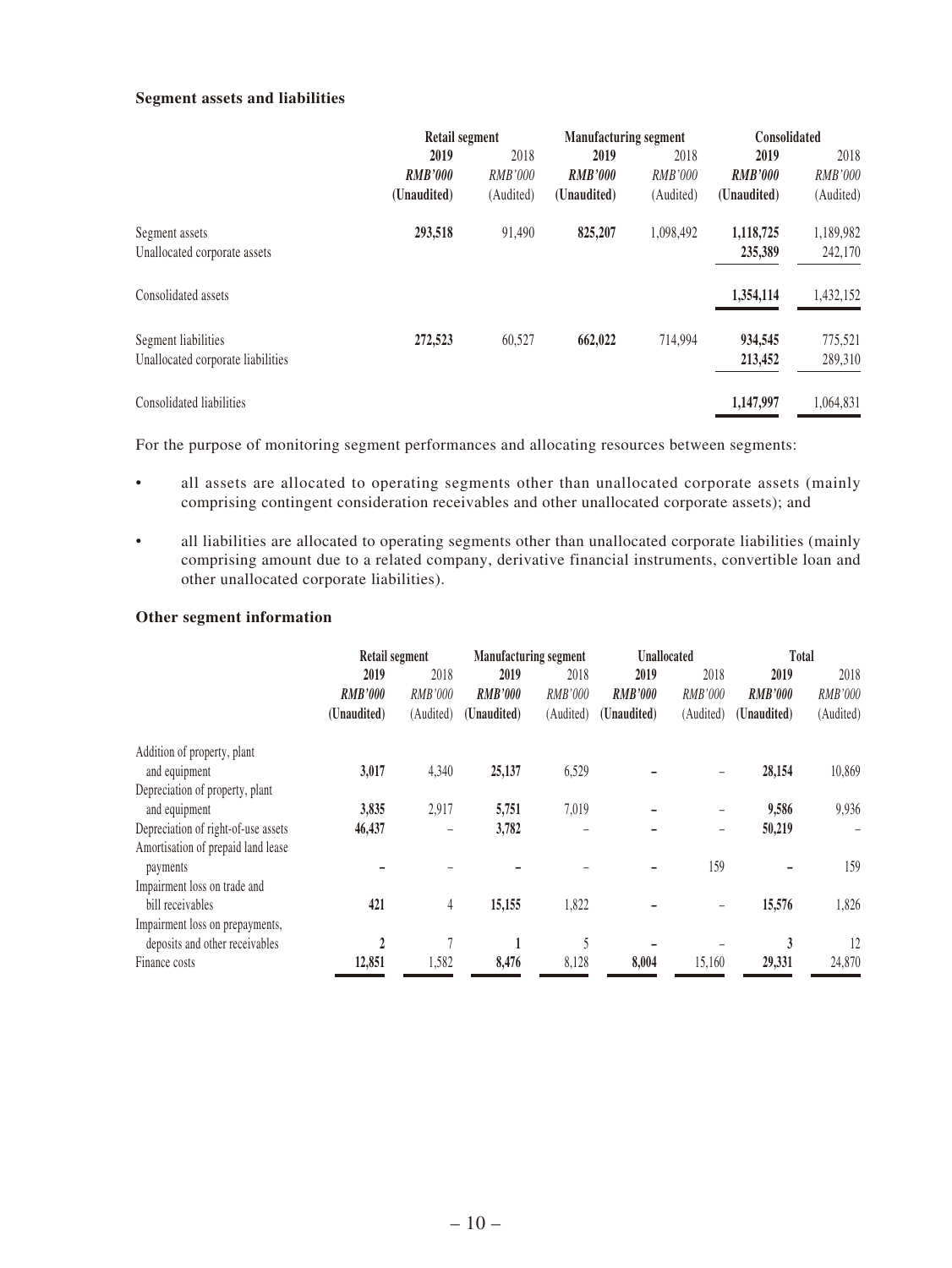#### **Segment assets and liabilities**

|                                                          | Retail segment                        |                                     | <b>Manufacturing segment</b>          |                                     | Consolidated                          |                                     |
|----------------------------------------------------------|---------------------------------------|-------------------------------------|---------------------------------------|-------------------------------------|---------------------------------------|-------------------------------------|
|                                                          | 2019<br><b>RMB'000</b><br>(Unaudited) | 2018<br><i>RMB'000</i><br>(Audited) | 2019<br><b>RMB'000</b><br>(Unaudited) | 2018<br><i>RMB'000</i><br>(Audited) | 2019<br><b>RMB'000</b><br>(Unaudited) | 2018<br><b>RMB'000</b><br>(Audited) |
|                                                          |                                       |                                     |                                       |                                     |                                       |                                     |
| Segment assets<br>Unallocated corporate assets           | 293,518                               | 91,490                              | 825,207                               | 1.098.492                           | 1,118,725<br>235,389                  | 1,189,982<br>242,170                |
| Consolidated assets                                      |                                       |                                     |                                       |                                     | 1,354,114                             | 1,432,152                           |
| Segment liabilities<br>Unallocated corporate liabilities | 272,523                               | 60,527                              | 662,022                               | 714,994                             | 934,545<br>213,452                    | 775,521<br>289,310                  |
| Consolidated liabilities                                 |                                       |                                     |                                       |                                     | 1,147,997                             | 1,064,831                           |

For the purpose of monitoring segment performances and allocating resources between segments:

- all assets are allocated to operating segments other than unallocated corporate assets (mainly comprising contingent consideration receivables and other unallocated corporate assets); and
- all liabilities are allocated to operating segments other than unallocated corporate liabilities (mainly comprising amount due to a related company, derivative financial instruments, convertible loan and other unallocated corporate liabilities).

#### **Other segment information**

|                                     | Retail segment |           |                | <b>Manufacturing segment</b> |                | <b>Unallocated</b> |                | Total          |  |
|-------------------------------------|----------------|-----------|----------------|------------------------------|----------------|--------------------|----------------|----------------|--|
|                                     | 2019           | 2018      | 2019           | 2018                         | 2019           | 2018               | 2019           | 2018           |  |
|                                     | <b>RMB'000</b> | RMB'000   | <b>RMB'000</b> | RMB'000                      | <b>RMB'000</b> | <i>RMB'000</i>     | <b>RMB'000</b> | <b>RMB'000</b> |  |
|                                     | (Unaudited)    | (Audited) | (Unaudited)    | (Audited)                    | (Unaudited)    | (Audited)          | (Unaudited)    | (Audited)      |  |
| Addition of property, plant         |                |           |                |                              |                |                    |                |                |  |
| and equipment                       | 3,017          | 4,340     | 25,137         | 6,529                        |                |                    | 28,154         | 10,869         |  |
| Depreciation of property, plant     |                |           |                |                              |                |                    |                |                |  |
| and equipment                       | 3,835          | 2,917     | 5,751          | 7,019                        |                | -                  | 9,586          | 9,936          |  |
| Depreciation of right-of-use assets | 46,437         | -         | 3,782          |                              |                | -                  | 50,219         |                |  |
| Amortisation of prepaid land lease  |                |           |                |                              |                |                    |                |                |  |
| payments                            |                |           |                |                              |                | 159                |                | 159            |  |
| Impairment loss on trade and        |                |           |                |                              |                |                    |                |                |  |
| bill receivables                    | 421            | 4         | 15,155         | 1,822                        |                |                    | 15,576         | 1,826          |  |
| Impairment loss on prepayments,     |                |           |                |                              |                |                    |                |                |  |
| deposits and other receivables      | $\mathfrak{p}$ | 7         | 1              | 5                            |                |                    | 3              | 12             |  |
| Finance costs                       | 12,851         | 1,582     | 8,476          | 8,128                        | 8,004          | 15,160             | 29,331         | 24,870         |  |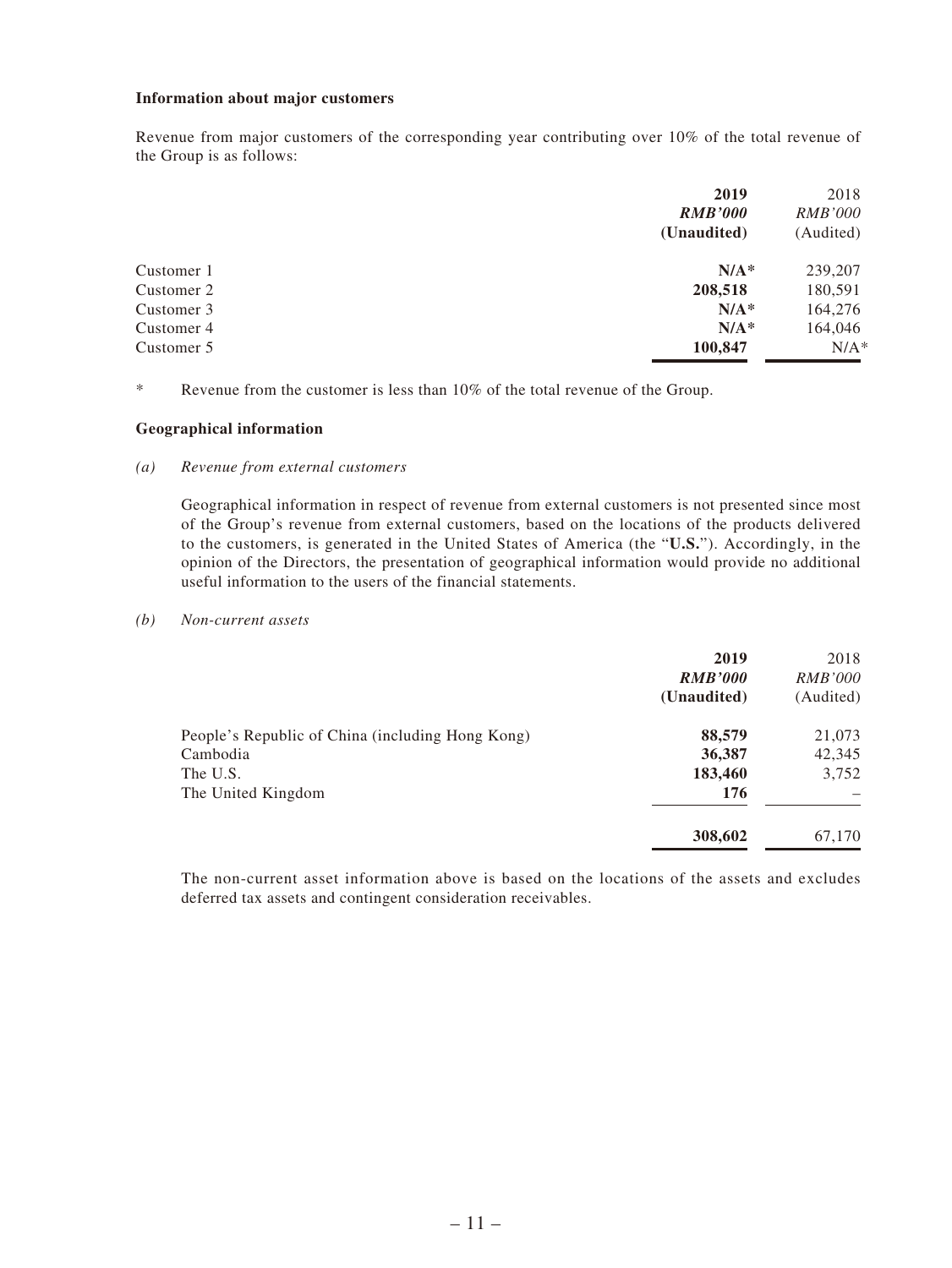#### **Information about major customers**

Revenue from major customers of the corresponding year contributing over 10% of the total revenue of the Group is as follows:

|            | 2019           | 2018           |
|------------|----------------|----------------|
|            | <b>RMB'000</b> | <i>RMB'000</i> |
|            | (Unaudited)    | (Audited)      |
| Customer 1 | $N/A^*$        | 239,207        |
| Customer 2 | 208,518        | 180,591        |
| Customer 3 | $N/A^*$        | 164,276        |
| Customer 4 | $N/A^*$        | 164,046        |
| Customer 5 | 100,847        | $N/A^*$        |

\* Revenue from the customer is less than 10% of the total revenue of the Group.

#### **Geographical information**

#### *(a) Revenue from external customers*

Geographical information in respect of revenue from external customers is not presented since most of the Group's revenue from external customers, based on the locations of the products delivered to the customers, is generated in the United States of America (the "**U.S.**"). Accordingly, in the opinion of the Directors, the presentation of geographical information would provide no additional useful information to the users of the financial statements.

#### *(b) Non-current assets*

|                                                  | 2019<br><b>RMB'000</b><br>(Unaudited) | 2018<br><i>RMB'000</i><br>(Audited) |
|--------------------------------------------------|---------------------------------------|-------------------------------------|
| People's Republic of China (including Hong Kong) | 88,579                                | 21,073                              |
| Cambodia                                         | 36,387                                | 42,345                              |
| The U.S.                                         | 183,460                               | 3,752                               |
| The United Kingdom                               | 176                                   |                                     |
|                                                  | 308,602                               | 67,170                              |

The non-current asset information above is based on the locations of the assets and excludes deferred tax assets and contingent consideration receivables.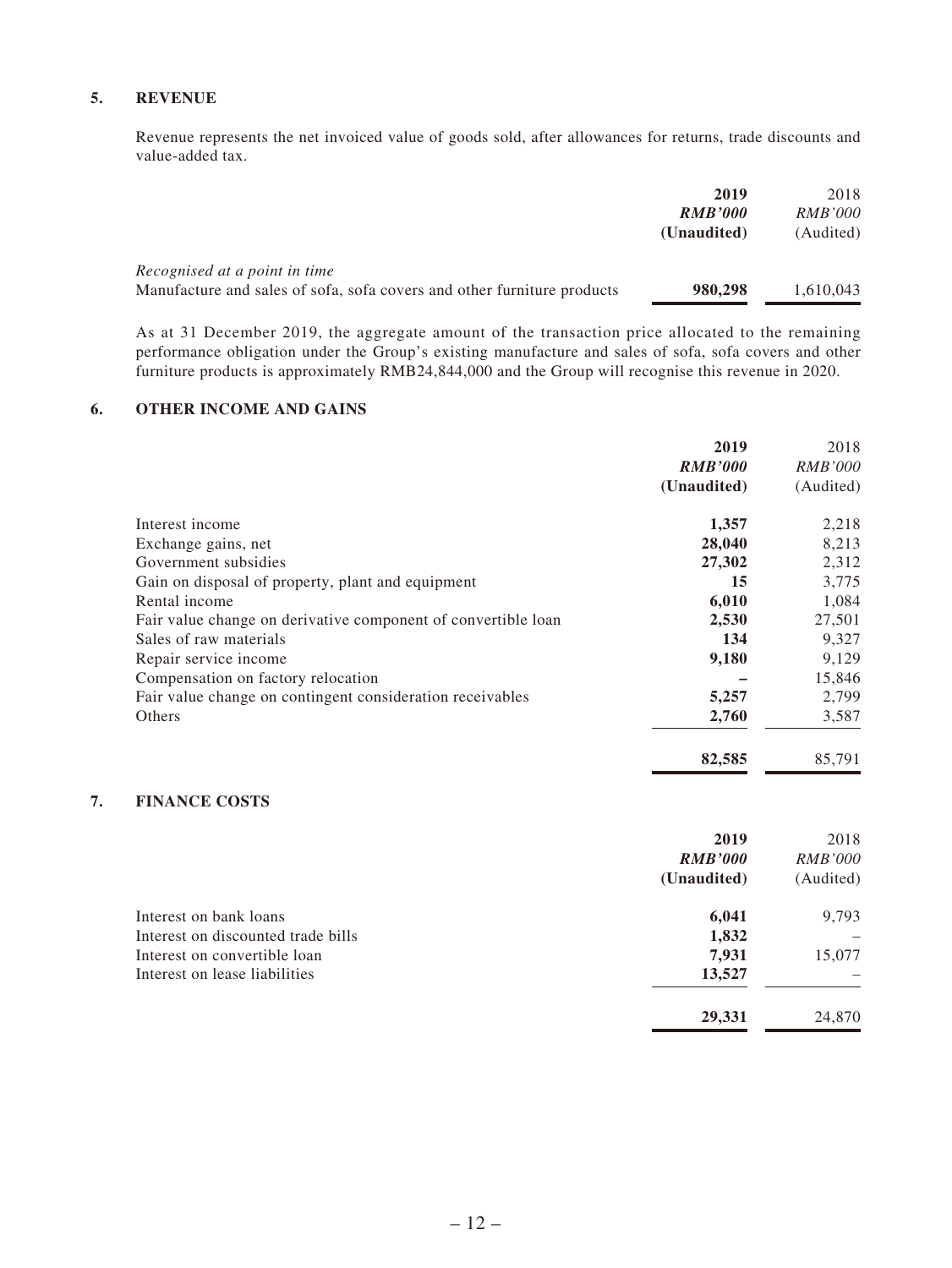#### **5. REVENUE**

Revenue represents the net invoiced value of goods sold, after allowances for returns, trade discounts and value-added tax.

|                                                                         | 2019           | 2018           |
|-------------------------------------------------------------------------|----------------|----------------|
|                                                                         | <b>RMB'000</b> | <i>RMB'000</i> |
|                                                                         | (Unaudited)    | (Audited)      |
| Recognised at a point in time                                           |                |                |
| Manufacture and sales of sofa, sofa covers and other furniture products | 980,298        | 1,610,043      |

As at 31 December 2019, the aggregate amount of the transaction price allocated to the remaining performance obligation under the Group's existing manufacture and sales of sofa, sofa covers and other furniture products is approximately RMB24,844,000 and the Group will recognise this revenue in 2020.

#### **6. OTHER INCOME AND GAINS**

|                                                               | 2019           | 2018           |
|---------------------------------------------------------------|----------------|----------------|
|                                                               | <b>RMB'000</b> | <i>RMB'000</i> |
|                                                               | (Unaudited)    | (Audited)      |
| Interest income                                               | 1,357          | 2,218          |
| Exchange gains, net                                           | 28,040         | 8,213          |
| Government subsidies                                          | 27,302         | 2,312          |
| Gain on disposal of property, plant and equipment             | 15             | 3,775          |
| Rental income                                                 | 6,010          | 1,084          |
| Fair value change on derivative component of convertible loan | 2,530          | 27,501         |
| Sales of raw materials                                        | 134            | 9,327          |
| Repair service income                                         | 9,180          | 9,129          |
| Compensation on factory relocation                            |                | 15,846         |
| Fair value change on contingent consideration receivables     | 5,257          | 2,799          |
| Others                                                        | 2,760          | 3,587          |
|                                                               | 82,585         | 85,791         |

### **7. FINANCE COSTS**

|                                    | 2019           | 2018           |
|------------------------------------|----------------|----------------|
|                                    | <b>RMB'000</b> | <i>RMB'000</i> |
|                                    | (Unaudited)    | (Audited)      |
| Interest on bank loans             | 6,041          | 9,793          |
| Interest on discounted trade bills | 1,832          |                |
| Interest on convertible loan       | 7,931          | 15,077         |
| Interest on lease liabilities      | 13,527         |                |
|                                    | 29,331         | 24,870         |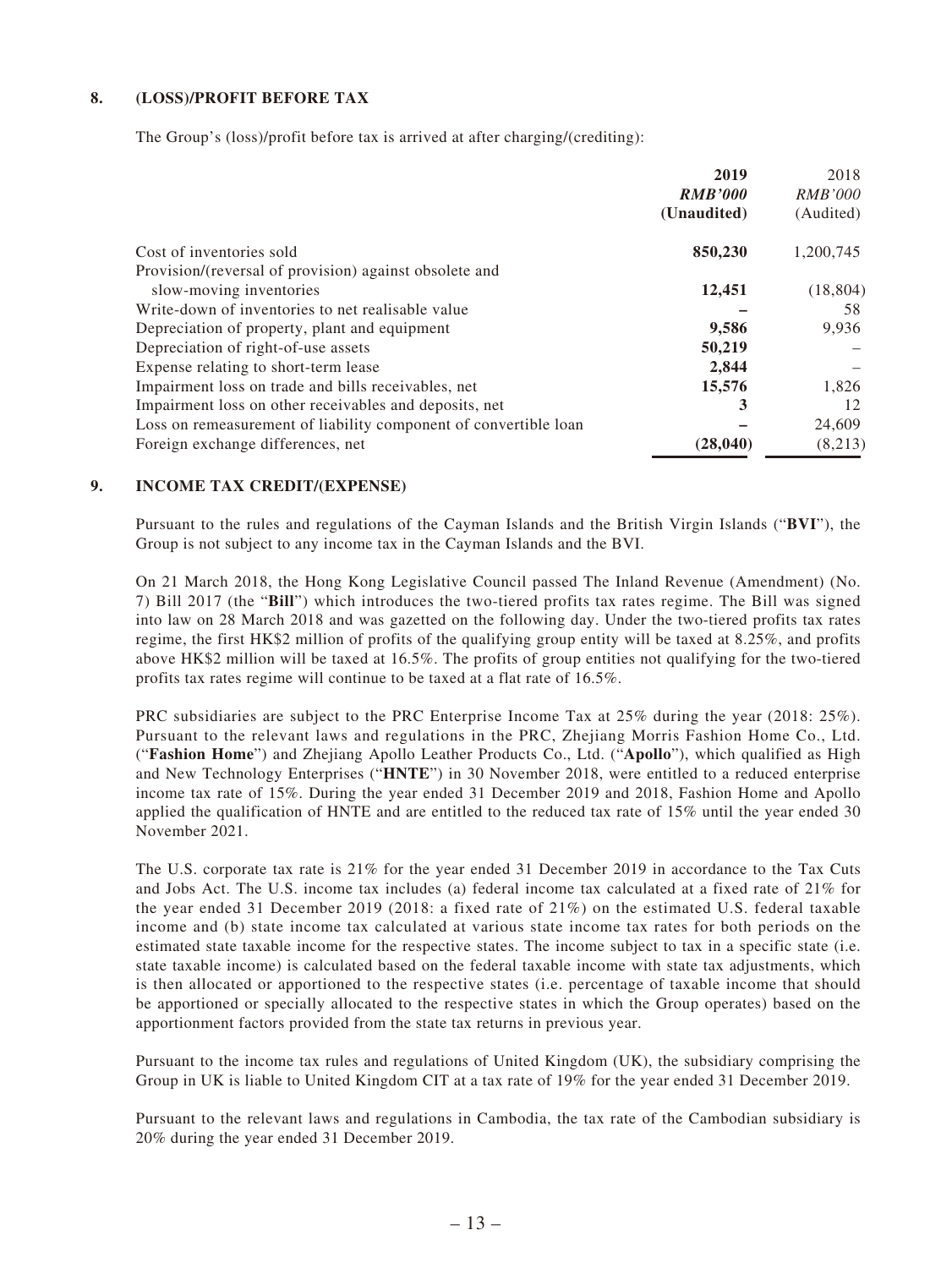#### **8. (LOSS)/PROFIT BEFORE TAX**

The Group's (loss)/profit before tax is arrived at after charging/(crediting):

|                                                                  | 2019           | 2018           |
|------------------------------------------------------------------|----------------|----------------|
|                                                                  | <b>RMB'000</b> | <i>RMB'000</i> |
|                                                                  | (Unaudited)    | (Audited)      |
| Cost of inventories sold                                         | 850,230        | 1,200,745      |
| Provision/(reversal of provision) against obsolete and           |                |                |
| slow-moving inventories                                          | 12,451         | (18, 804)      |
| Write-down of inventories to net realisable value                |                | 58             |
| Depreciation of property, plant and equipment                    | 9,586          | 9,936          |
| Depreciation of right-of-use assets                              | 50,219         |                |
| Expense relating to short-term lease                             | 2,844          |                |
| Impairment loss on trade and bills receivables, net              | 15,576         | 1,826          |
| Impairment loss on other receivables and deposits, net           | 3              | 12             |
| Loss on remeasurement of liability component of convertible loan |                | 24,609         |
| Foreign exchange differences, net                                | (28, 040)      | (8,213)        |

#### **9. INCOME TAX CREDIT/(EXPENSE)**

Pursuant to the rules and regulations of the Cayman Islands and the British Virgin Islands ("**BVI**"), the Group is not subject to any income tax in the Cayman Islands and the BVI.

On 21 March 2018, the Hong Kong Legislative Council passed The Inland Revenue (Amendment) (No. 7) Bill 2017 (the "**Bill**") which introduces the two-tiered profits tax rates regime. The Bill was signed into law on 28 March 2018 and was gazetted on the following day. Under the two-tiered profits tax rates regime, the first HK\$2 million of profits of the qualifying group entity will be taxed at 8.25%, and profits above HK\$2 million will be taxed at 16.5%. The profits of group entities not qualifying for the two-tiered profits tax rates regime will continue to be taxed at a flat rate of 16.5%.

PRC subsidiaries are subject to the PRC Enterprise Income Tax at 25% during the year (2018: 25%). Pursuant to the relevant laws and regulations in the PRC, Zhejiang Morris Fashion Home Co., Ltd. ("**Fashion Home**") and Zhejiang Apollo Leather Products Co., Ltd. ("**Apollo**"), which qualified as High and New Technology Enterprises ("**HNTE**") in 30 November 2018, were entitled to a reduced enterprise income tax rate of 15%. During the year ended 31 December 2019 and 2018, Fashion Home and Apollo applied the qualification of HNTE and are entitled to the reduced tax rate of 15% until the year ended 30 November 2021.

The U.S. corporate tax rate is 21% for the year ended 31 December 2019 in accordance to the Tax Cuts and Jobs Act. The U.S. income tax includes (a) federal income tax calculated at a fixed rate of 21% for the year ended 31 December 2019 (2018: a fixed rate of 21%) on the estimated U.S. federal taxable income and (b) state income tax calculated at various state income tax rates for both periods on the estimated state taxable income for the respective states. The income subject to tax in a specific state (i.e. state taxable income) is calculated based on the federal taxable income with state tax adjustments, which is then allocated or apportioned to the respective states (i.e. percentage of taxable income that should be apportioned or specially allocated to the respective states in which the Group operates) based on the apportionment factors provided from the state tax returns in previous year.

Pursuant to the income tax rules and regulations of United Kingdom (UK), the subsidiary comprising the Group in UK is liable to United Kingdom CIT at a tax rate of 19% for the year ended 31 December 2019.

Pursuant to the relevant laws and regulations in Cambodia, the tax rate of the Cambodian subsidiary is 20% during the year ended 31 December 2019.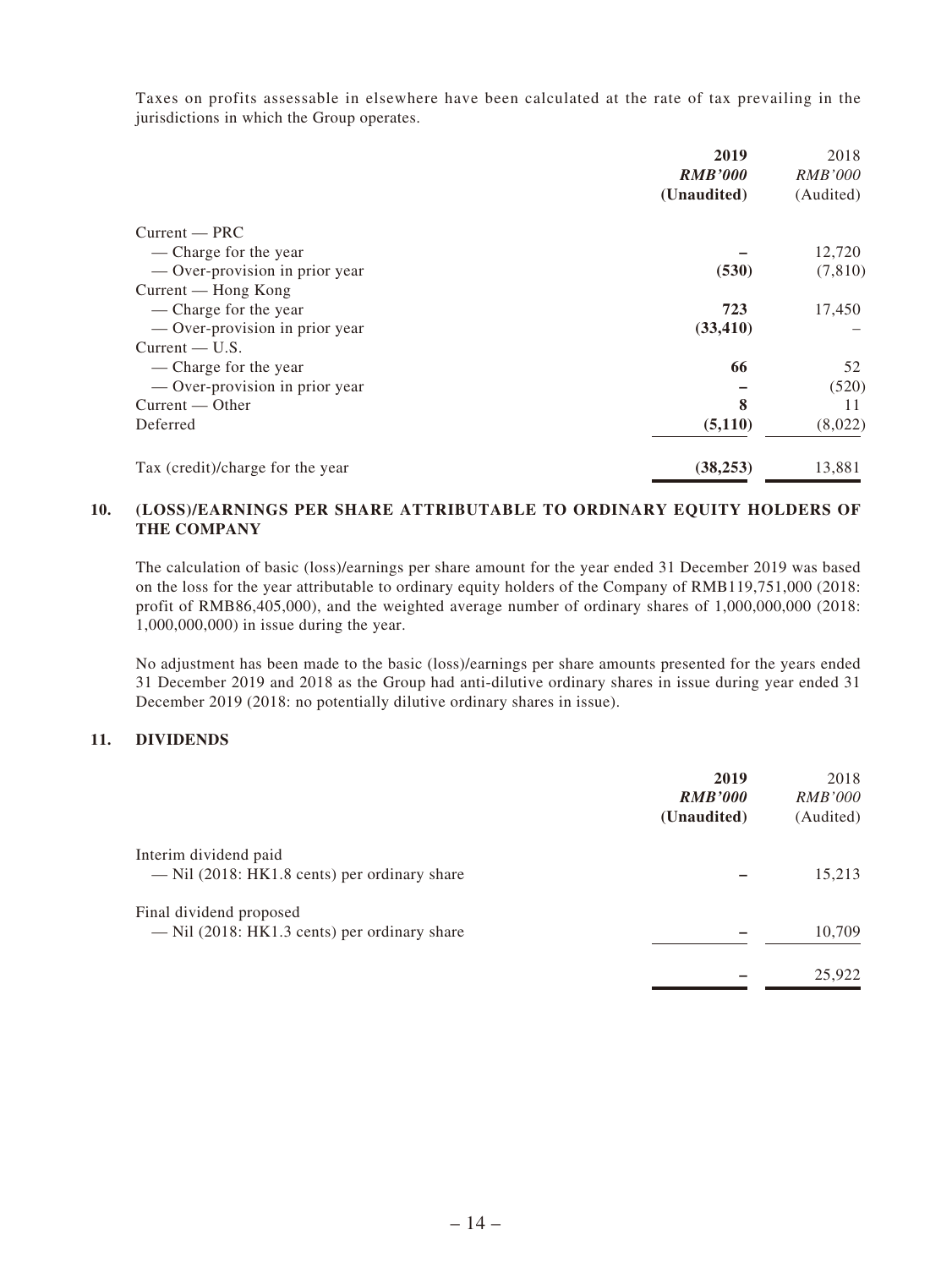Taxes on profits assessable in elsewhere have been calculated at the rate of tax prevailing in the jurisdictions in which the Group operates.

|                                  | 2019           | 2018           |
|----------------------------------|----------------|----------------|
|                                  | <b>RMB'000</b> | <i>RMB'000</i> |
|                                  | (Unaudited)    | (Audited)      |
| $Current - PRC$                  |                |                |
| — Charge for the year            |                | 12,720         |
| — Over-provision in prior year   | (530)          | (7, 810)       |
| Current — Hong Kong              |                |                |
| — Charge for the year            | 723            | 17,450         |
| — Over-provision in prior year   | (33, 410)      |                |
| $Current - U.S.$                 |                |                |
| — Charge for the year            | 66             | 52             |
| — Over-provision in prior year   |                | (520)          |
| $Current - Other$                | 8              | 11             |
| Deferred                         | (5,110)        | (8,022)        |
| Tax (credit)/charge for the year | (38, 253)      | 13,881         |

#### **10. (LOSS)/EARNINGS PER SHARE ATTRIBUTABLE TO ORDINARY EQUITY HOLDERS OF THE COMPANY**

The calculation of basic (loss)/earnings per share amount for the year ended 31 December 2019 was based on the loss for the year attributable to ordinary equity holders of the Company of RMB119,751,000 (2018: profit of RMB86,405,000), and the weighted average number of ordinary shares of 1,000,000,000 (2018: 1,000,000,000) in issue during the year.

No adjustment has been made to the basic (loss)/earnings per share amounts presented for the years ended 31 December 2019 and 2018 as the Group had anti-dilutive ordinary shares in issue during year ended 31 December 2019 (2018: no potentially dilutive ordinary shares in issue).

#### **11. DIVIDENDS**

|                                                                           | 2019<br><b>RMB'000</b><br>(Unaudited) | 2018<br><i>RMB'000</i><br>(Audited) |
|---------------------------------------------------------------------------|---------------------------------------|-------------------------------------|
| Interim dividend paid<br>— Nil (2018: HK1.8 cents) per ordinary share     |                                       | 15,213                              |
| Final dividend proposed<br>$-$ Nil (2018: HK1.3 cents) per ordinary share |                                       | 10,709                              |
|                                                                           |                                       | 25,922                              |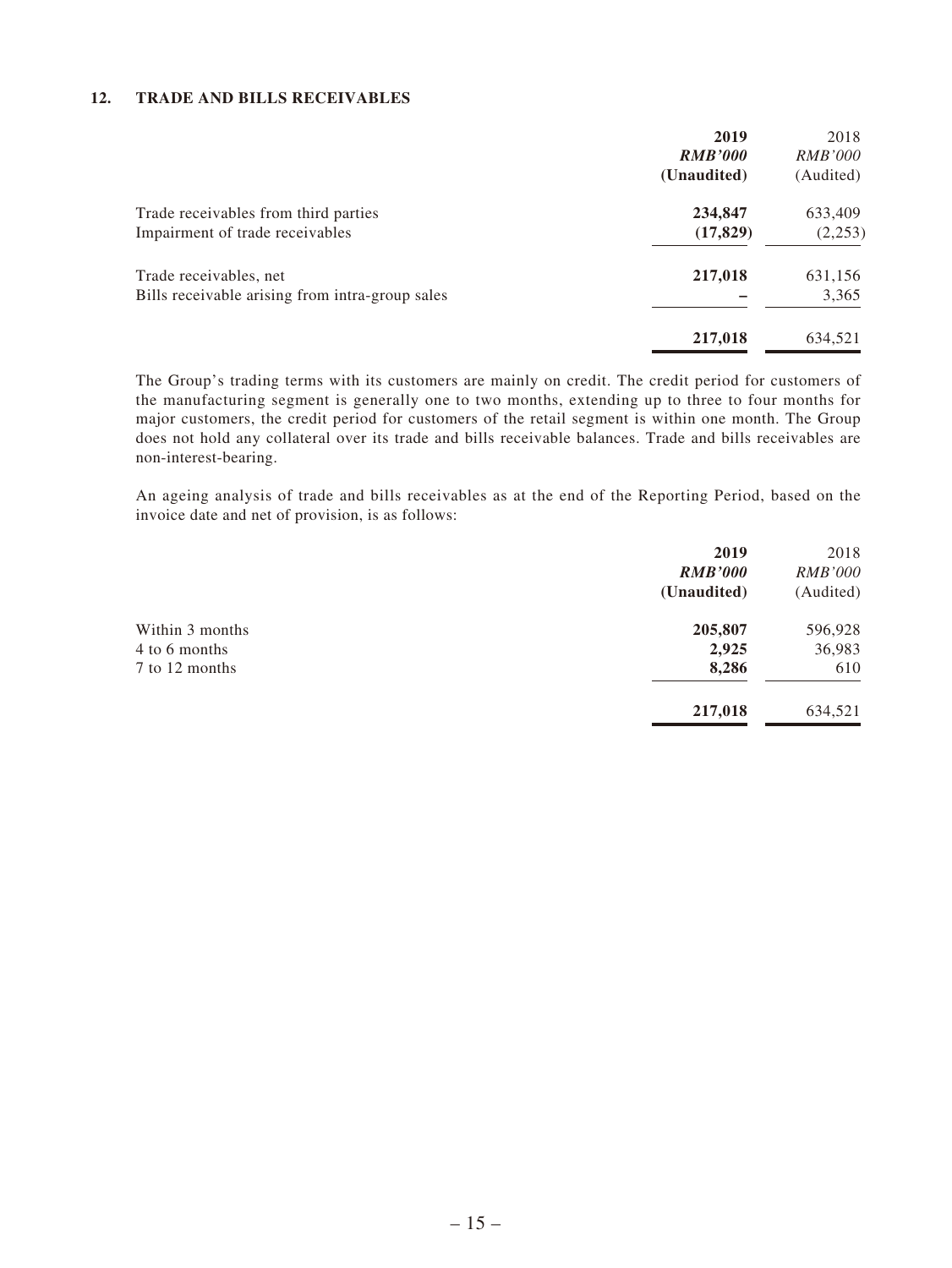#### **12. TRADE AND BILLS RECEIVABLES**

|                                                 | 2019<br><b>RMB'000</b> | 2018<br><i>RMB'000</i> |
|-------------------------------------------------|------------------------|------------------------|
|                                                 | (Unaudited)            | (Audited)              |
| Trade receivables from third parties            | 234,847                | 633,409                |
| Impairment of trade receivables                 | (17, 829)              | (2,253)                |
| Trade receivables, net                          | 217,018                | 631,156                |
| Bills receivable arising from intra-group sales |                        | 3,365                  |
|                                                 | 217,018                | 634,521                |

The Group's trading terms with its customers are mainly on credit. The credit period for customers of the manufacturing segment is generally one to two months, extending up to three to four months for major customers, the credit period for customers of the retail segment is within one month. The Group does not hold any collateral over its trade and bills receivable balances. Trade and bills receivables are non-interest-bearing.

An ageing analysis of trade and bills receivables as at the end of the Reporting Period, based on the invoice date and net of provision, is as follows:

| 2019           | 2018           |
|----------------|----------------|
| <b>RMB'000</b> | <i>RMB'000</i> |
| (Unaudited)    | (Audited)      |
| 205,807        | 596,928        |
| 2,925          | 36,983         |
| 8,286          | 610            |
| 217,018        | 634,521        |
|                |                |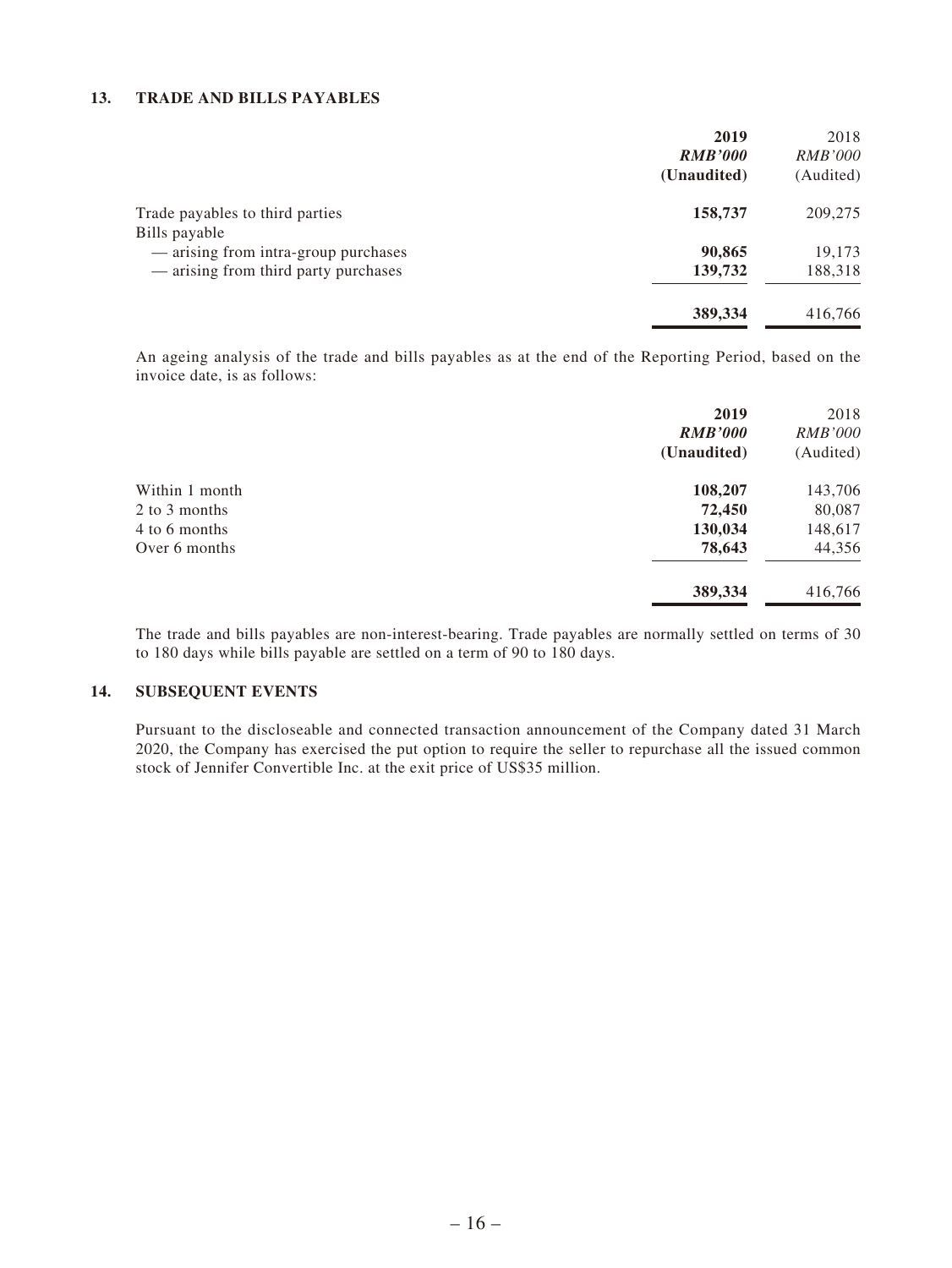#### **13. TRADE AND BILLS PAYABLES**

|                                      | 2019           | 2018           |
|--------------------------------------|----------------|----------------|
|                                      | <b>RMB'000</b> | <i>RMB'000</i> |
|                                      | (Unaudited)    | (Audited)      |
| Trade payables to third parties      | 158,737        | 209,275        |
| Bills payable                        |                |                |
| — arising from intra-group purchases | 90,865         | 19,173         |
| — arising from third party purchases | 139,732        | 188,318        |
|                                      | 389,334        | 416,766        |

An ageing analysis of the trade and bills payables as at the end of the Reporting Period, based on the invoice date, is as follows:

|                | 2019           | 2018           |
|----------------|----------------|----------------|
|                | <b>RMB'000</b> | <i>RMB'000</i> |
|                | (Unaudited)    | (Audited)      |
| Within 1 month | 108,207        | 143,706        |
| 2 to 3 months  | 72,450         | 80,087         |
| 4 to 6 months  | 130,034        | 148,617        |
| Over 6 months  | 78,643         | 44,356         |
|                | 389,334        | 416,766        |

The trade and bills payables are non-interest-bearing. Trade payables are normally settled on terms of 30 to 180 days while bills payable are settled on a term of 90 to 180 days.

#### **14. SUBSEQUENT EVENTS**

Pursuant to the discloseable and connected transaction announcement of the Company dated 31 March 2020, the Company has exercised the put option to require the seller to repurchase all the issued common stock of Jennifer Convertible Inc. at the exit price of US\$35 million.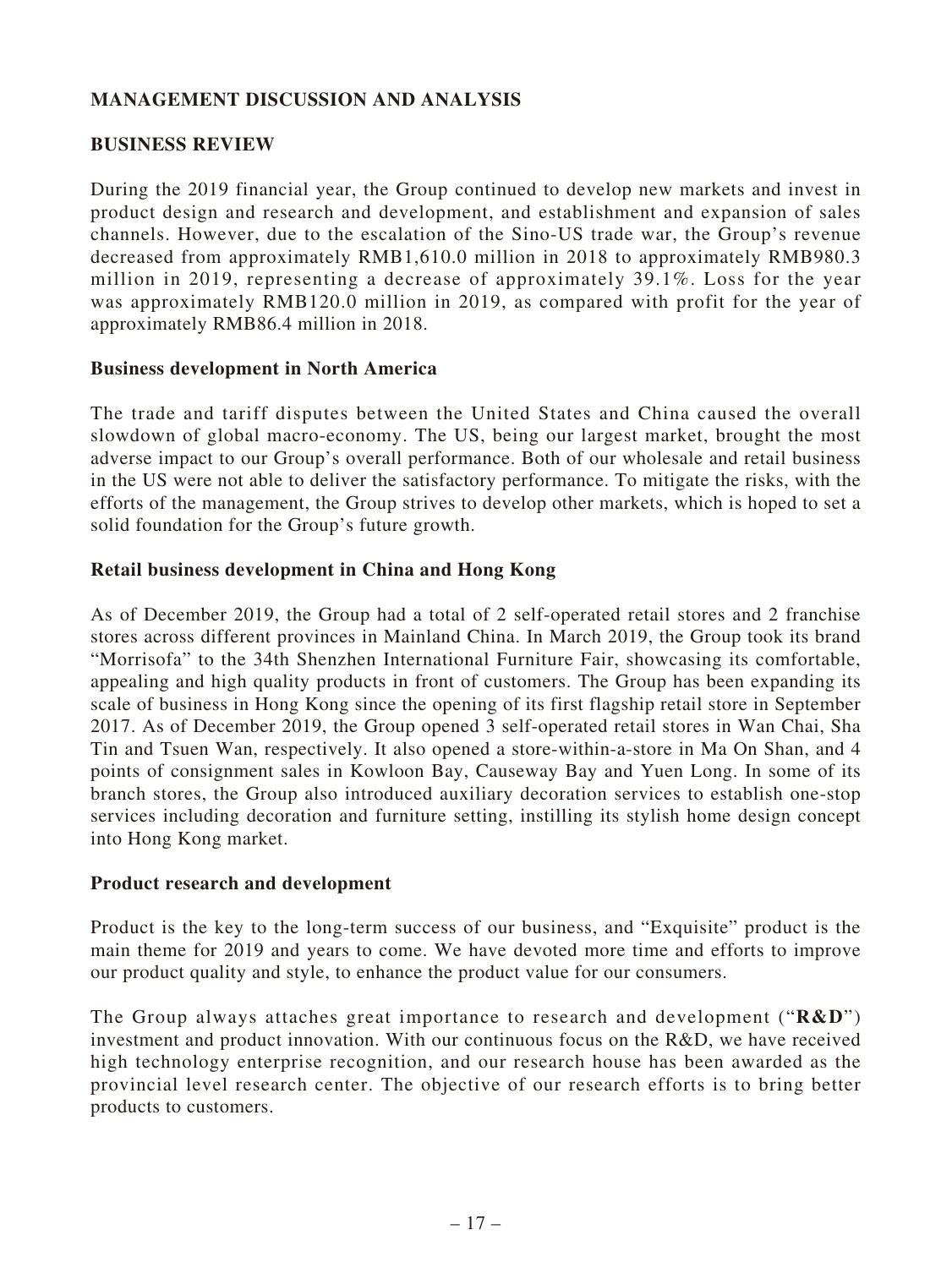# **MANAGEMENT DISCUSSION AND ANALYSIS**

### **BUSINESS REVIEW**

During the 2019 financial year, the Group continued to develop new markets and invest in product design and research and development, and establishment and expansion of sales channels. However, due to the escalation of the Sino-US trade war, the Group's revenue decreased from approximately RMB1,610.0 million in 2018 to approximately RMB980.3 million in 2019, representing a decrease of approximately 39.1%. Loss for the year was approximately RMB120.0 million in 2019, as compared with profit for the year of approximately RMB86.4 million in 2018.

### **Business development in North America**

The trade and tariff disputes between the United States and China caused the overall slowdown of global macro-economy. The US, being our largest market, brought the most adverse impact to our Group's overall performance. Both of our wholesale and retail business in the US were not able to deliver the satisfactory performance. To mitigate the risks, with the efforts of the management, the Group strives to develop other markets, which is hoped to set a solid foundation for the Group's future growth.

### **Retail business development in China and Hong Kong**

As of December 2019, the Group had a total of 2 self-operated retail stores and 2 franchise stores across different provinces in Mainland China. In March 2019, the Group took its brand "Morrisofa" to the 34th Shenzhen International Furniture Fair, showcasing its comfortable, appealing and high quality products in front of customers. The Group has been expanding its scale of business in Hong Kong since the opening of its first flagship retail store in September 2017. As of December 2019, the Group opened 3 self-operated retail stores in Wan Chai, Sha Tin and Tsuen Wan, respectively. It also opened a store-within-a-store in Ma On Shan, and 4 points of consignment sales in Kowloon Bay, Causeway Bay and Yuen Long. In some of its branch stores, the Group also introduced auxiliary decoration services to establish one-stop services including decoration and furniture setting, instilling its stylish home design concept into Hong Kong market.

### **Product research and development**

Product is the key to the long-term success of our business, and "Exquisite" product is the main theme for 2019 and years to come. We have devoted more time and efforts to improve our product quality and style, to enhance the product value for our consumers.

The Group always attaches great importance to research and development ("**R&D**") investment and product innovation. With our continuous focus on the R&D, we have received high technology enterprise recognition, and our research house has been awarded as the provincial level research center. The objective of our research efforts is to bring better products to customers.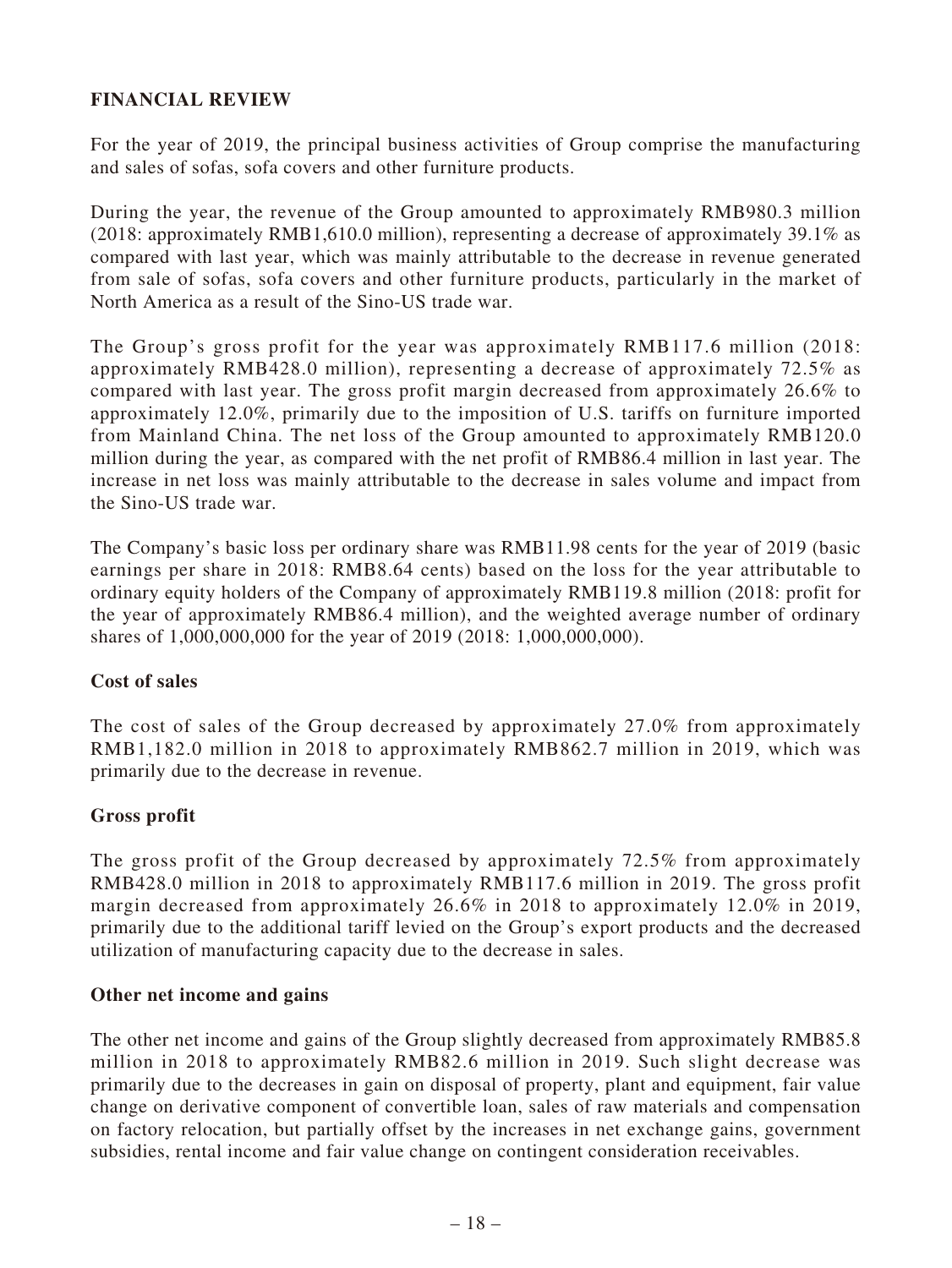# **FINANCIAL REVIEW**

For the year of 2019, the principal business activities of Group comprise the manufacturing and sales of sofas, sofa covers and other furniture products.

During the year, the revenue of the Group amounted to approximately RMB980.3 million (2018: approximately RMB1,610.0 million), representing a decrease of approximately 39.1% as compared with last year, which was mainly attributable to the decrease in revenue generated from sale of sofas, sofa covers and other furniture products, particularly in the market of North America as a result of the Sino-US trade war.

The Group's gross profit for the year was approximately RMB117.6 million (2018: approximately RMB428.0 million), representing a decrease of approximately 72.5% as compared with last year. The gross profit margin decreased from approximately 26.6% to approximately 12.0%, primarily due to the imposition of U.S. tariffs on furniture imported from Mainland China. The net loss of the Group amounted to approximately RMB120.0 million during the year, as compared with the net profit of RMB86.4 million in last year. The increase in net loss was mainly attributable to the decrease in sales volume and impact from the Sino-US trade war.

The Company's basic loss per ordinary share was RMB11.98 cents for the year of 2019 (basic earnings per share in 2018: RMB8.64 cents) based on the loss for the year attributable to ordinary equity holders of the Company of approximately RMB119.8 million (2018: profit for the year of approximately RMB86.4 million), and the weighted average number of ordinary shares of 1,000,000,000 for the year of 2019 (2018: 1,000,000,000).

# **Cost of sales**

The cost of sales of the Group decreased by approximately 27.0% from approximately RMB1,182.0 million in 2018 to approximately RMB862.7 million in 2019, which was primarily due to the decrease in revenue.

# **Gross profit**

The gross profit of the Group decreased by approximately 72.5% from approximately RMB428.0 million in 2018 to approximately RMB117.6 million in 2019. The gross profit margin decreased from approximately 26.6% in 2018 to approximately 12.0% in 2019, primarily due to the additional tariff levied on the Group's export products and the decreased utilization of manufacturing capacity due to the decrease in sales.

### **Other net income and gains**

The other net income and gains of the Group slightly decreased from approximately RMB85.8 million in 2018 to approximately RMB82.6 million in 2019. Such slight decrease was primarily due to the decreases in gain on disposal of property, plant and equipment, fair value change on derivative component of convertible loan, sales of raw materials and compensation on factory relocation, but partially offset by the increases in net exchange gains, government subsidies, rental income and fair value change on contingent consideration receivables.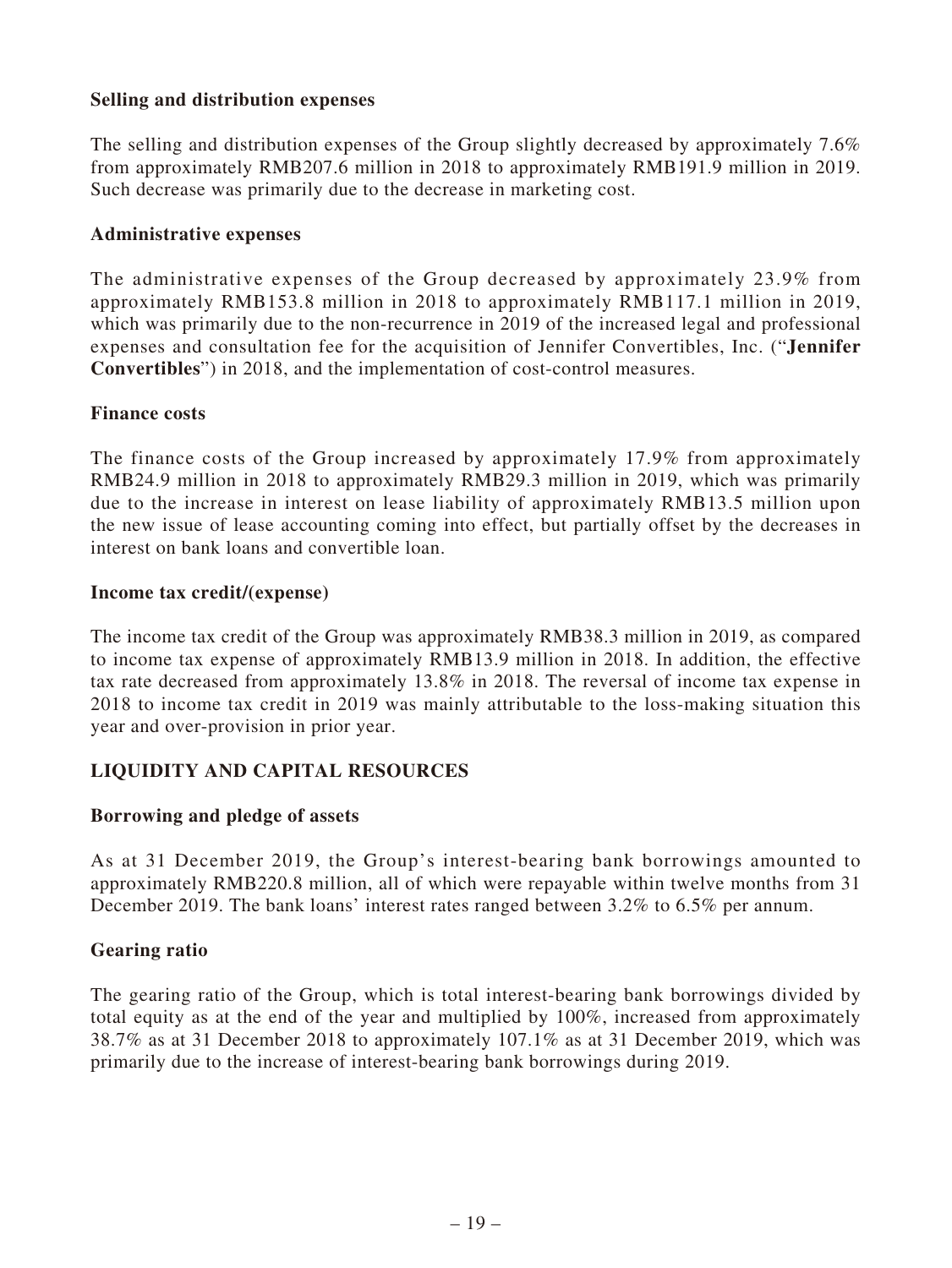### **Selling and distribution expenses**

The selling and distribution expenses of the Group slightly decreased by approximately 7.6% from approximately RMB207.6 million in 2018 to approximately RMB191.9 million in 2019. Such decrease was primarily due to the decrease in marketing cost.

### **Administrative expenses**

The administrative expenses of the Group decreased by approximately 23.9% from approximately RMB153.8 million in 2018 to approximately RMB117.1 million in 2019, which was primarily due to the non-recurrence in 2019 of the increased legal and professional expenses and consultation fee for the acquisition of Jennifer Convertibles, Inc. ("**Jennifer Convertibles**") in 2018, and the implementation of cost-control measures.

### **Finance costs**

The finance costs of the Group increased by approximately 17.9% from approximately RMB24.9 million in 2018 to approximately RMB29.3 million in 2019, which was primarily due to the increase in interest on lease liability of approximately RMB13.5 million upon the new issue of lease accounting coming into effect, but partially offset by the decreases in interest on bank loans and convertible loan.

### **Income tax credit/(expense)**

The income tax credit of the Group was approximately RMB38.3 million in 2019, as compared to income tax expense of approximately RMB13.9 million in 2018. In addition, the effective tax rate decreased from approximately 13.8% in 2018. The reversal of income tax expense in 2018 to income tax credit in 2019 was mainly attributable to the loss-making situation this year and over-provision in prior year.

# **LIQUIDITY AND CAPITAL RESOURCES**

### **Borrowing and pledge of assets**

As at 31 December 2019, the Group's interest-bearing bank borrowings amounted to approximately RMB220.8 million, all of which were repayable within twelve months from 31 December 2019. The bank loans' interest rates ranged between 3.2% to 6.5% per annum.

### **Gearing ratio**

The gearing ratio of the Group, which is total interest-bearing bank borrowings divided by total equity as at the end of the year and multiplied by 100%, increased from approximately 38.7% as at 31 December 2018 to approximately 107.1% as at 31 December 2019, which was primarily due to the increase of interest-bearing bank borrowings during 2019.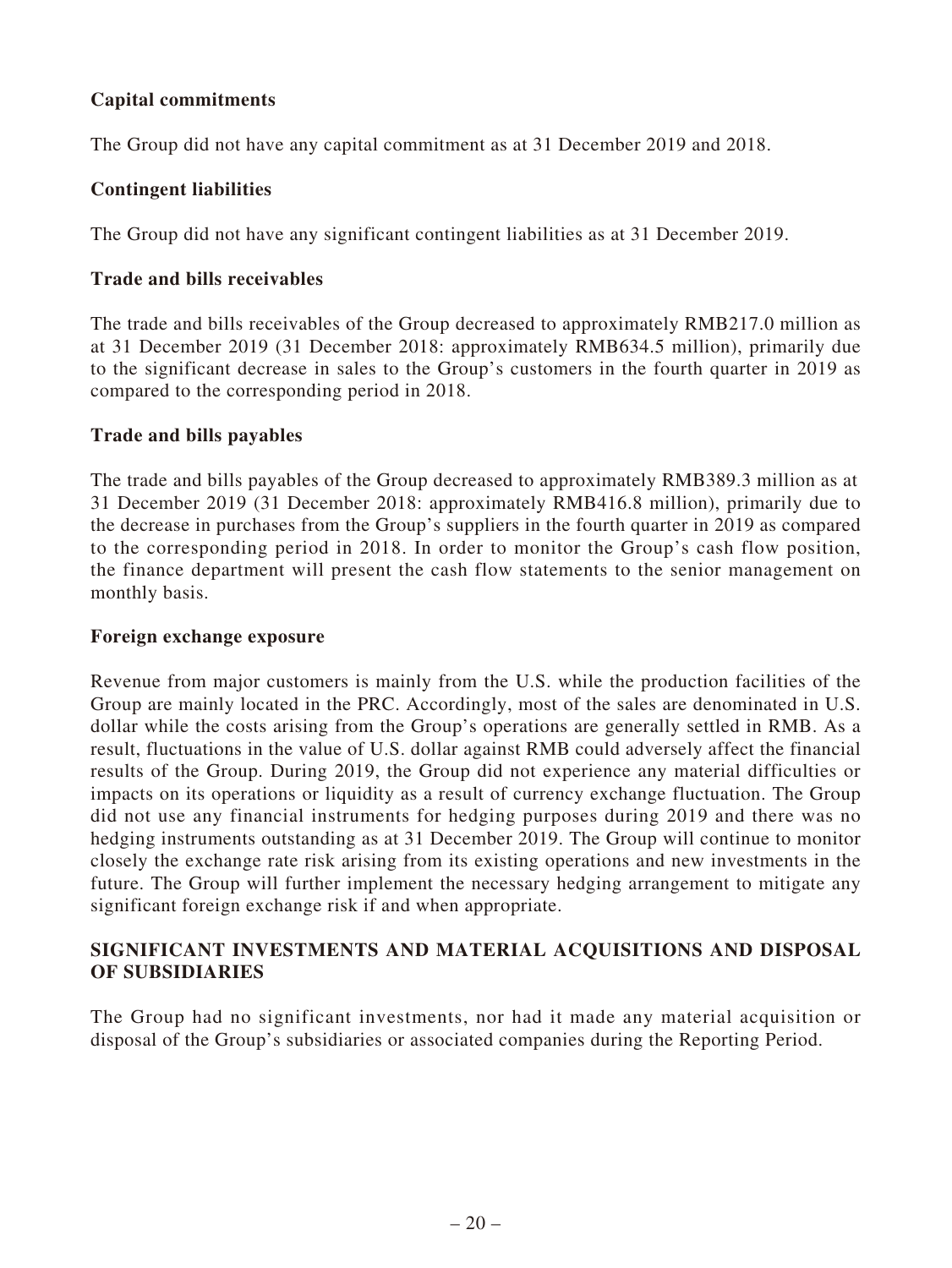# **Capital commitments**

The Group did not have any capital commitment as at 31 December 2019 and 2018.

### **Contingent liabilities**

The Group did not have any significant contingent liabilities as at 31 December 2019.

### **Trade and bills receivables**

The trade and bills receivables of the Group decreased to approximately RMB217.0 million as at 31 December 2019 (31 December 2018: approximately RMB634.5 million), primarily due to the significant decrease in sales to the Group's customers in the fourth quarter in 2019 as compared to the corresponding period in 2018.

### **Trade and bills payables**

The trade and bills payables of the Group decreased to approximately RMB389.3 million as at 31 December 2019 (31 December 2018: approximately RMB416.8 million), primarily due to the decrease in purchases from the Group's suppliers in the fourth quarter in 2019 as compared to the corresponding period in 2018. In order to monitor the Group's cash flow position, the finance department will present the cash flow statements to the senior management on monthly basis.

### **Foreign exchange exposure**

Revenue from major customers is mainly from the U.S. while the production facilities of the Group are mainly located in the PRC. Accordingly, most of the sales are denominated in U.S. dollar while the costs arising from the Group's operations are generally settled in RMB. As a result, fluctuations in the value of U.S. dollar against RMB could adversely affect the financial results of the Group. During 2019, the Group did not experience any material difficulties or impacts on its operations or liquidity as a result of currency exchange fluctuation. The Group did not use any financial instruments for hedging purposes during 2019 and there was no hedging instruments outstanding as at 31 December 2019. The Group will continue to monitor closely the exchange rate risk arising from its existing operations and new investments in the future. The Group will further implement the necessary hedging arrangement to mitigate any significant foreign exchange risk if and when appropriate.

### **SIGNIFICANT INVESTMENTS AND MATERIAL ACQUISITIONS AND DISPOSAL OF SUBSIDIARIES**

The Group had no significant investments, nor had it made any material acquisition or disposal of the Group's subsidiaries or associated companies during the Reporting Period.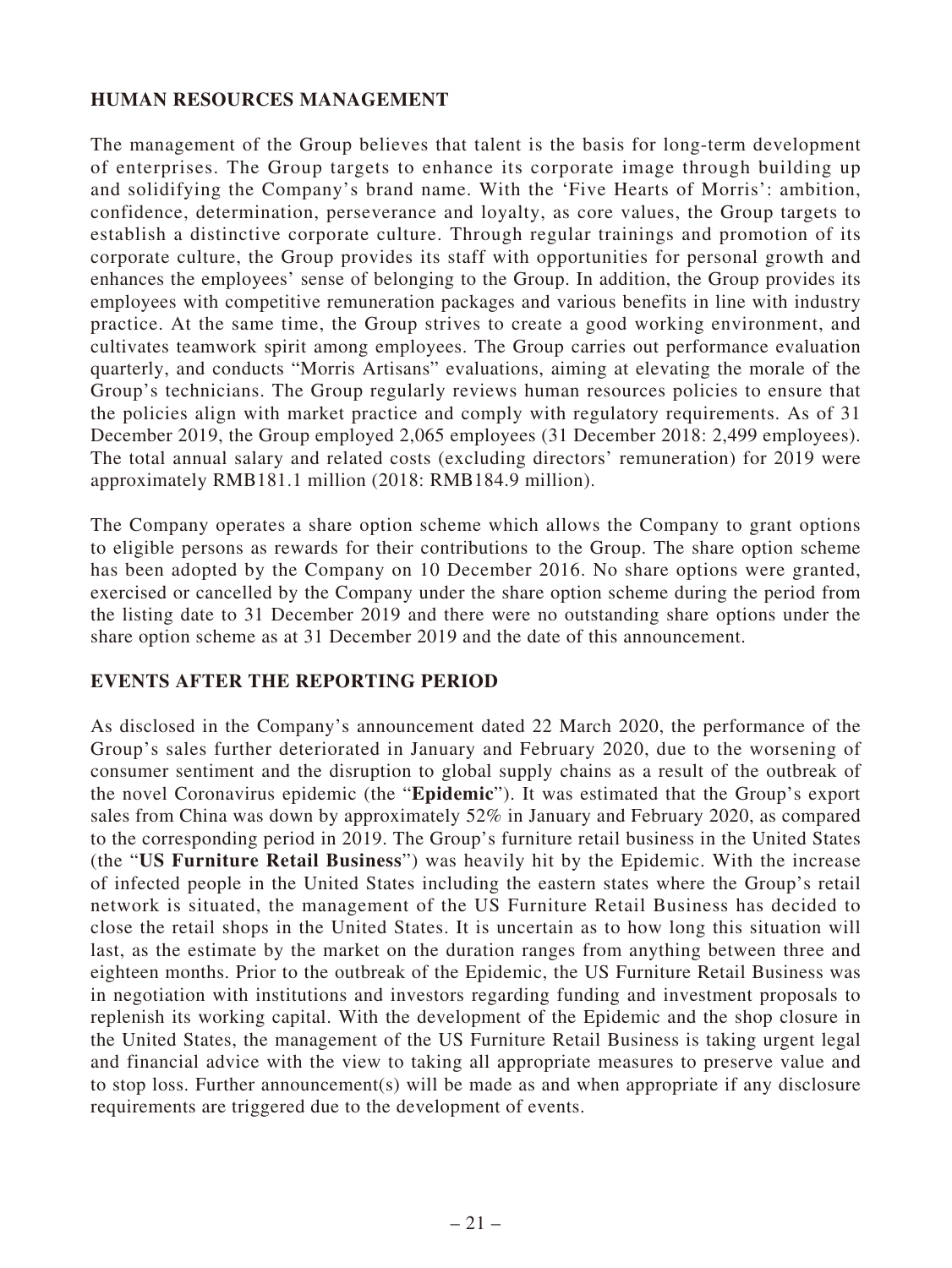# **HUMAN RESOURCES MANAGEMENT**

The management of the Group believes that talent is the basis for long-term development of enterprises. The Group targets to enhance its corporate image through building up and solidifying the Company's brand name. With the 'Five Hearts of Morris': ambition, confidence, determination, perseverance and loyalty, as core values, the Group targets to establish a distinctive corporate culture. Through regular trainings and promotion of its corporate culture, the Group provides its staff with opportunities for personal growth and enhances the employees' sense of belonging to the Group. In addition, the Group provides its employees with competitive remuneration packages and various benefits in line with industry practice. At the same time, the Group strives to create a good working environment, and cultivates teamwork spirit among employees. The Group carries out performance evaluation quarterly, and conducts "Morris Artisans" evaluations, aiming at elevating the morale of the Group's technicians. The Group regularly reviews human resources policies to ensure that the policies align with market practice and comply with regulatory requirements. As of 31 December 2019, the Group employed 2,065 employees (31 December 2018: 2,499 employees). The total annual salary and related costs (excluding directors' remuneration) for 2019 were approximately RMB181.1 million (2018: RMB184.9 million).

The Company operates a share option scheme which allows the Company to grant options to eligible persons as rewards for their contributions to the Group. The share option scheme has been adopted by the Company on 10 December 2016. No share options were granted, exercised or cancelled by the Company under the share option scheme during the period from the listing date to 31 December 2019 and there were no outstanding share options under the share option scheme as at 31 December 2019 and the date of this announcement.

# **EVENTS AFTER THE REPORTING PERIOD**

As disclosed in the Company's announcement dated 22 March 2020, the performance of the Group's sales further deteriorated in January and February 2020, due to the worsening of consumer sentiment and the disruption to global supply chains as a result of the outbreak of the novel Coronavirus epidemic (the "**Epidemic**"). It was estimated that the Group's export sales from China was down by approximately 52% in January and February 2020, as compared to the corresponding period in 2019. The Group's furniture retail business in the United States (the "**US Furniture Retail Business**") was heavily hit by the Epidemic. With the increase of infected people in the United States including the eastern states where the Group's retail network is situated, the management of the US Furniture Retail Business has decided to close the retail shops in the United States. It is uncertain as to how long this situation will last, as the estimate by the market on the duration ranges from anything between three and eighteen months. Prior to the outbreak of the Epidemic, the US Furniture Retail Business was in negotiation with institutions and investors regarding funding and investment proposals to replenish its working capital. With the development of the Epidemic and the shop closure in the United States, the management of the US Furniture Retail Business is taking urgent legal and financial advice with the view to taking all appropriate measures to preserve value and to stop loss. Further announcement(s) will be made as and when appropriate if any disclosure requirements are triggered due to the development of events.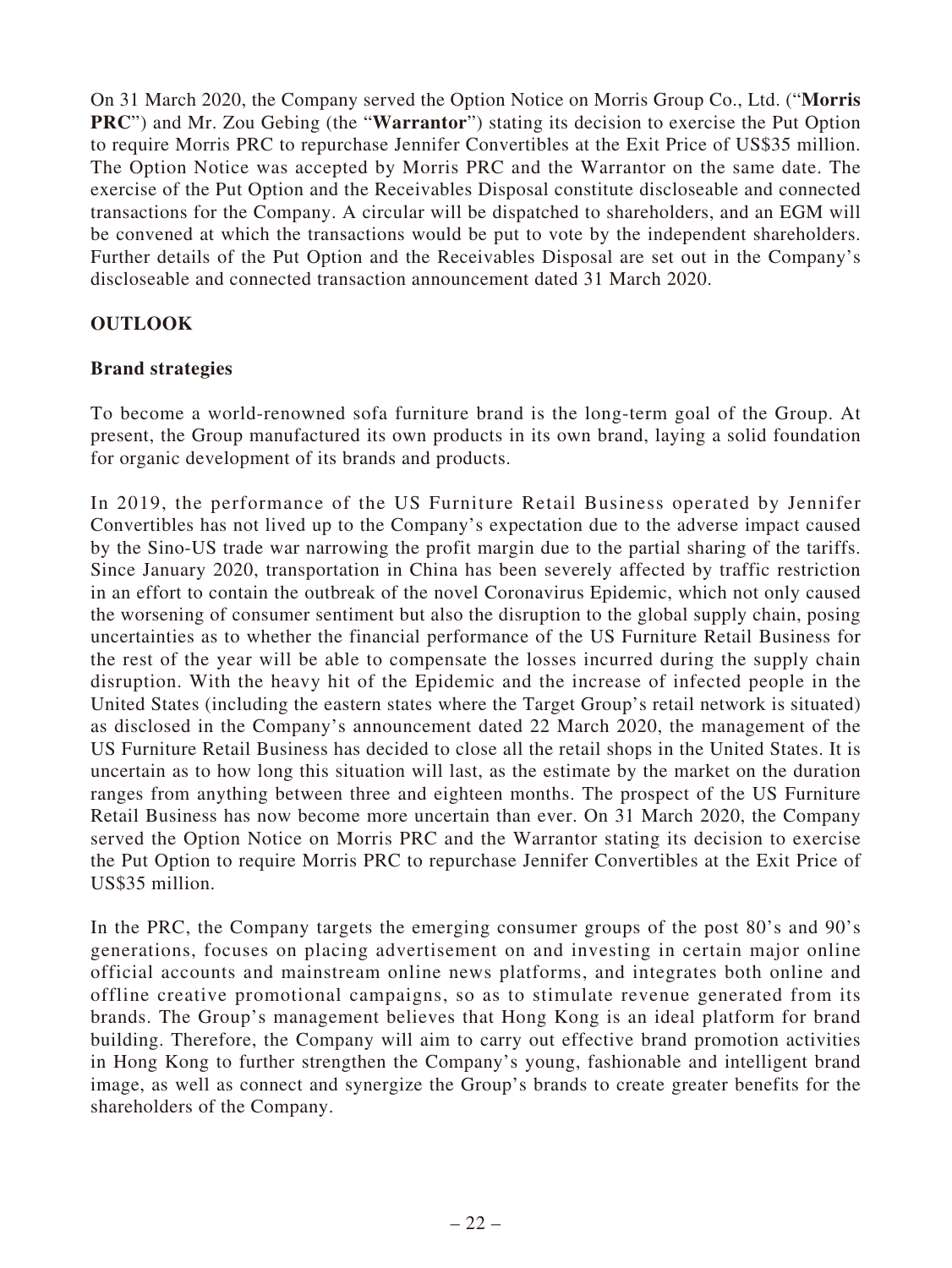On 31 March 2020, the Company served the Option Notice on Morris Group Co., Ltd. ("**Morris PRC**") and Mr. Zou Gebing (the "**Warrantor**") stating its decision to exercise the Put Option to require Morris PRC to repurchase Jennifer Convertibles at the Exit Price of US\$35 million. The Option Notice was accepted by Morris PRC and the Warrantor on the same date. The exercise of the Put Option and the Receivables Disposal constitute discloseable and connected transactions for the Company. A circular will be dispatched to shareholders, and an EGM will be convened at which the transactions would be put to vote by the independent shareholders. Further details of the Put Option and the Receivables Disposal are set out in the Company's discloseable and connected transaction announcement dated 31 March 2020.

# **OUTLOOK**

# **Brand strategies**

To become a world-renowned sofa furniture brand is the long-term goal of the Group. At present, the Group manufactured its own products in its own brand, laying a solid foundation for organic development of its brands and products.

In 2019, the performance of the US Furniture Retail Business operated by Jennifer Convertibles has not lived up to the Company's expectation due to the adverse impact caused by the Sino-US trade war narrowing the profit margin due to the partial sharing of the tariffs. Since January 2020, transportation in China has been severely affected by traffic restriction in an effort to contain the outbreak of the novel Coronavirus Epidemic, which not only caused the worsening of consumer sentiment but also the disruption to the global supply chain, posing uncertainties as to whether the financial performance of the US Furniture Retail Business for the rest of the year will be able to compensate the losses incurred during the supply chain disruption. With the heavy hit of the Epidemic and the increase of infected people in the United States (including the eastern states where the Target Group's retail network is situated) as disclosed in the Company's announcement dated 22 March 2020, the management of the US Furniture Retail Business has decided to close all the retail shops in the United States. It is uncertain as to how long this situation will last, as the estimate by the market on the duration ranges from anything between three and eighteen months. The prospect of the US Furniture Retail Business has now become more uncertain than ever. On 31 March 2020, the Company served the Option Notice on Morris PRC and the Warrantor stating its decision to exercise the Put Option to require Morris PRC to repurchase Jennifer Convertibles at the Exit Price of US\$35 million.

In the PRC, the Company targets the emerging consumer groups of the post 80's and 90's generations, focuses on placing advertisement on and investing in certain major online official accounts and mainstream online news platforms, and integrates both online and offline creative promotional campaigns, so as to stimulate revenue generated from its brands. The Group's management believes that Hong Kong is an ideal platform for brand building. Therefore, the Company will aim to carry out effective brand promotion activities in Hong Kong to further strengthen the Company's young, fashionable and intelligent brand image, as well as connect and synergize the Group's brands to create greater benefits for the shareholders of the Company.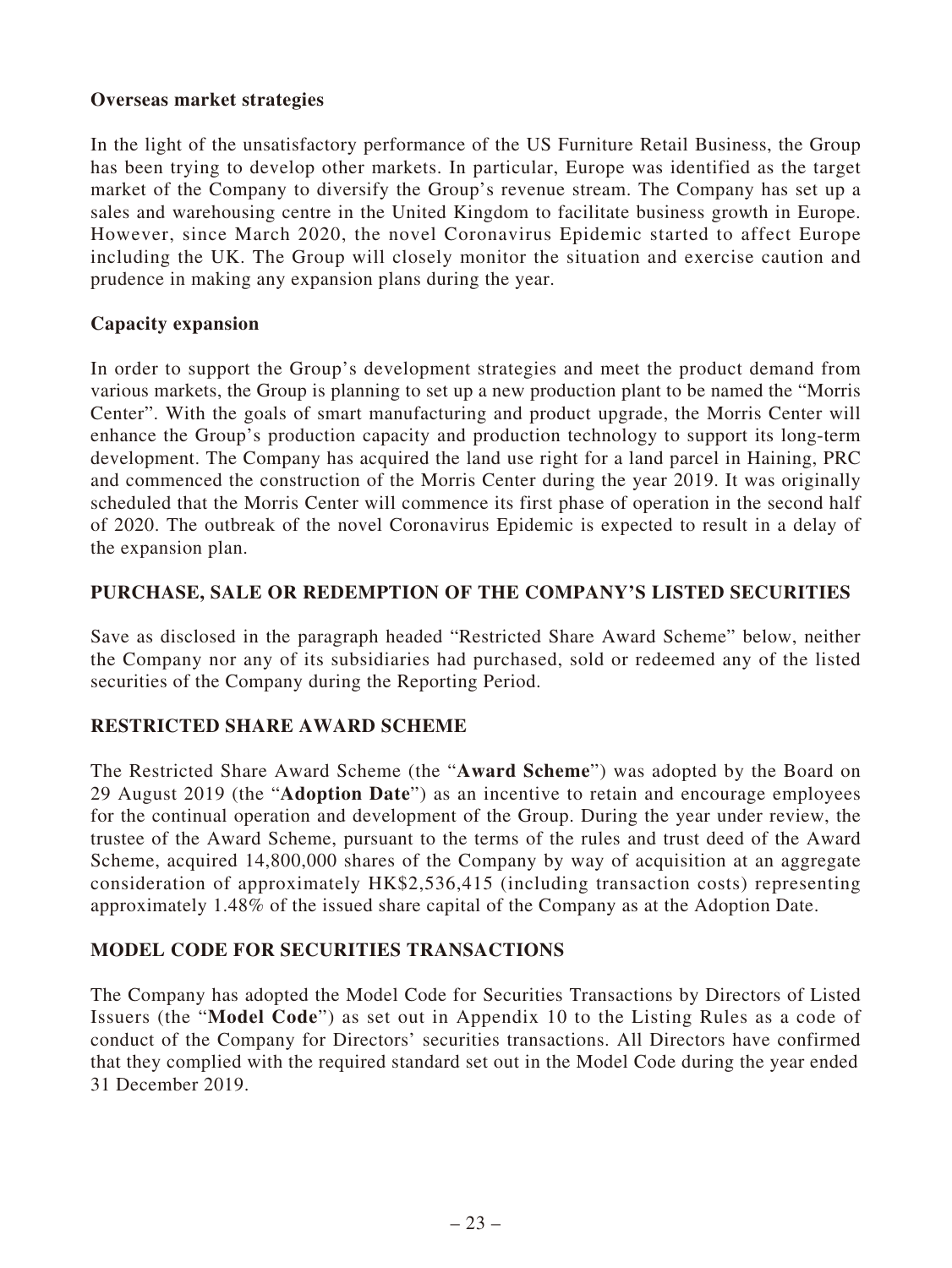# **Overseas market strategies**

In the light of the unsatisfactory performance of the US Furniture Retail Business, the Group has been trying to develop other markets. In particular, Europe was identified as the target market of the Company to diversify the Group's revenue stream. The Company has set up a sales and warehousing centre in the United Kingdom to facilitate business growth in Europe. However, since March 2020, the novel Coronavirus Epidemic started to affect Europe including the UK. The Group will closely monitor the situation and exercise caution and prudence in making any expansion plans during the year.

# **Capacity expansion**

In order to support the Group's development strategies and meet the product demand from various markets, the Group is planning to set up a new production plant to be named the "Morris Center". With the goals of smart manufacturing and product upgrade, the Morris Center will enhance the Group's production capacity and production technology to support its long-term development. The Company has acquired the land use right for a land parcel in Haining, PRC and commenced the construction of the Morris Center during the year 2019. It was originally scheduled that the Morris Center will commence its first phase of operation in the second half of 2020. The outbreak of the novel Coronavirus Epidemic is expected to result in a delay of the expansion plan.

# **PURCHASE, SALE OR REDEMPTION OF THE COMPANY'S LISTED SECURITIES**

Save as disclosed in the paragraph headed "Restricted Share Award Scheme" below, neither the Company nor any of its subsidiaries had purchased, sold or redeemed any of the listed securities of the Company during the Reporting Period.

# **RESTRICTED SHARE AWARD SCHEME**

The Restricted Share Award Scheme (the "**Award Scheme**") was adopted by the Board on 29 August 2019 (the "**Adoption Date**") as an incentive to retain and encourage employees for the continual operation and development of the Group. During the year under review, the trustee of the Award Scheme, pursuant to the terms of the rules and trust deed of the Award Scheme, acquired 14,800,000 shares of the Company by way of acquisition at an aggregate consideration of approximately HK\$2,536,415 (including transaction costs) representing approximately 1.48% of the issued share capital of the Company as at the Adoption Date.

# **MODEL CODE FOR SECURITIES TRANSACTIONS**

The Company has adopted the Model Code for Securities Transactions by Directors of Listed Issuers (the "**Model Code**") as set out in Appendix 10 to the Listing Rules as a code of conduct of the Company for Directors' securities transactions. All Directors have confirmed that they complied with the required standard set out in the Model Code during the year ended 31 December 2019.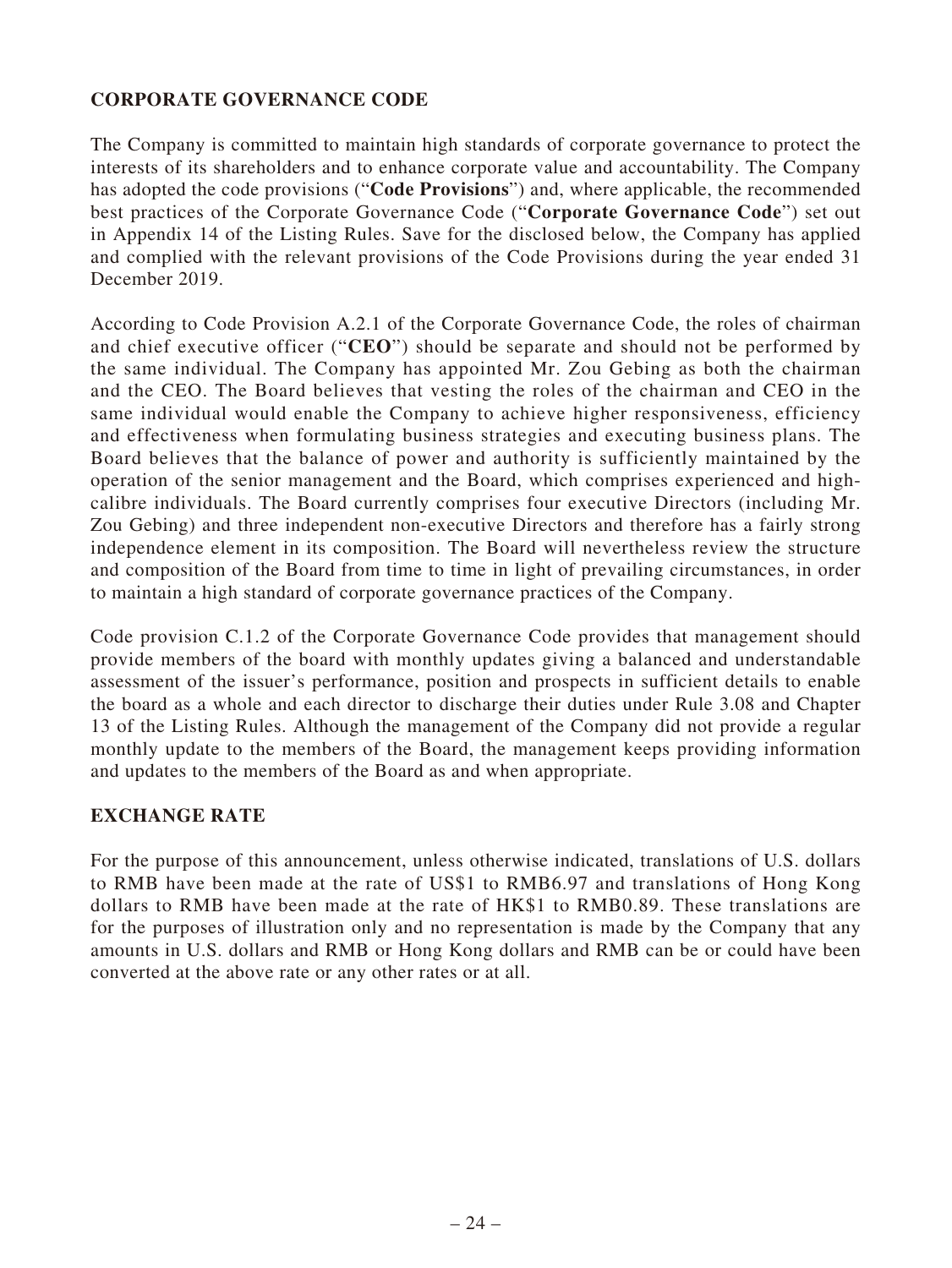# **CORPORATE GOVERNANCE CODE**

The Company is committed to maintain high standards of corporate governance to protect the interests of its shareholders and to enhance corporate value and accountability. The Company has adopted the code provisions ("**Code Provisions**") and, where applicable, the recommended best practices of the Corporate Governance Code ("**Corporate Governance Code**") set out in Appendix 14 of the Listing Rules. Save for the disclosed below, the Company has applied and complied with the relevant provisions of the Code Provisions during the year ended 31 December 2019.

According to Code Provision A.2.1 of the Corporate Governance Code, the roles of chairman and chief executive officer ("**CEO**") should be separate and should not be performed by the same individual. The Company has appointed Mr. Zou Gebing as both the chairman and the CEO. The Board believes that vesting the roles of the chairman and CEO in the same individual would enable the Company to achieve higher responsiveness, efficiency and effectiveness when formulating business strategies and executing business plans. The Board believes that the balance of power and authority is sufficiently maintained by the operation of the senior management and the Board, which comprises experienced and highcalibre individuals. The Board currently comprises four executive Directors (including Mr. Zou Gebing) and three independent non-executive Directors and therefore has a fairly strong independence element in its composition. The Board will nevertheless review the structure and composition of the Board from time to time in light of prevailing circumstances, in order to maintain a high standard of corporate governance practices of the Company.

Code provision C.1.2 of the Corporate Governance Code provides that management should provide members of the board with monthly updates giving a balanced and understandable assessment of the issuer's performance, position and prospects in sufficient details to enable the board as a whole and each director to discharge their duties under Rule 3.08 and Chapter 13 of the Listing Rules. Although the management of the Company did not provide a regular monthly update to the members of the Board, the management keeps providing information and updates to the members of the Board as and when appropriate.

# **EXCHANGE RATE**

For the purpose of this announcement, unless otherwise indicated, translations of U.S. dollars to RMB have been made at the rate of US\$1 to RMB6.97 and translations of Hong Kong dollars to RMB have been made at the rate of HK\$1 to RMB0.89. These translations are for the purposes of illustration only and no representation is made by the Company that any amounts in U.S. dollars and RMB or Hong Kong dollars and RMB can be or could have been converted at the above rate or any other rates or at all.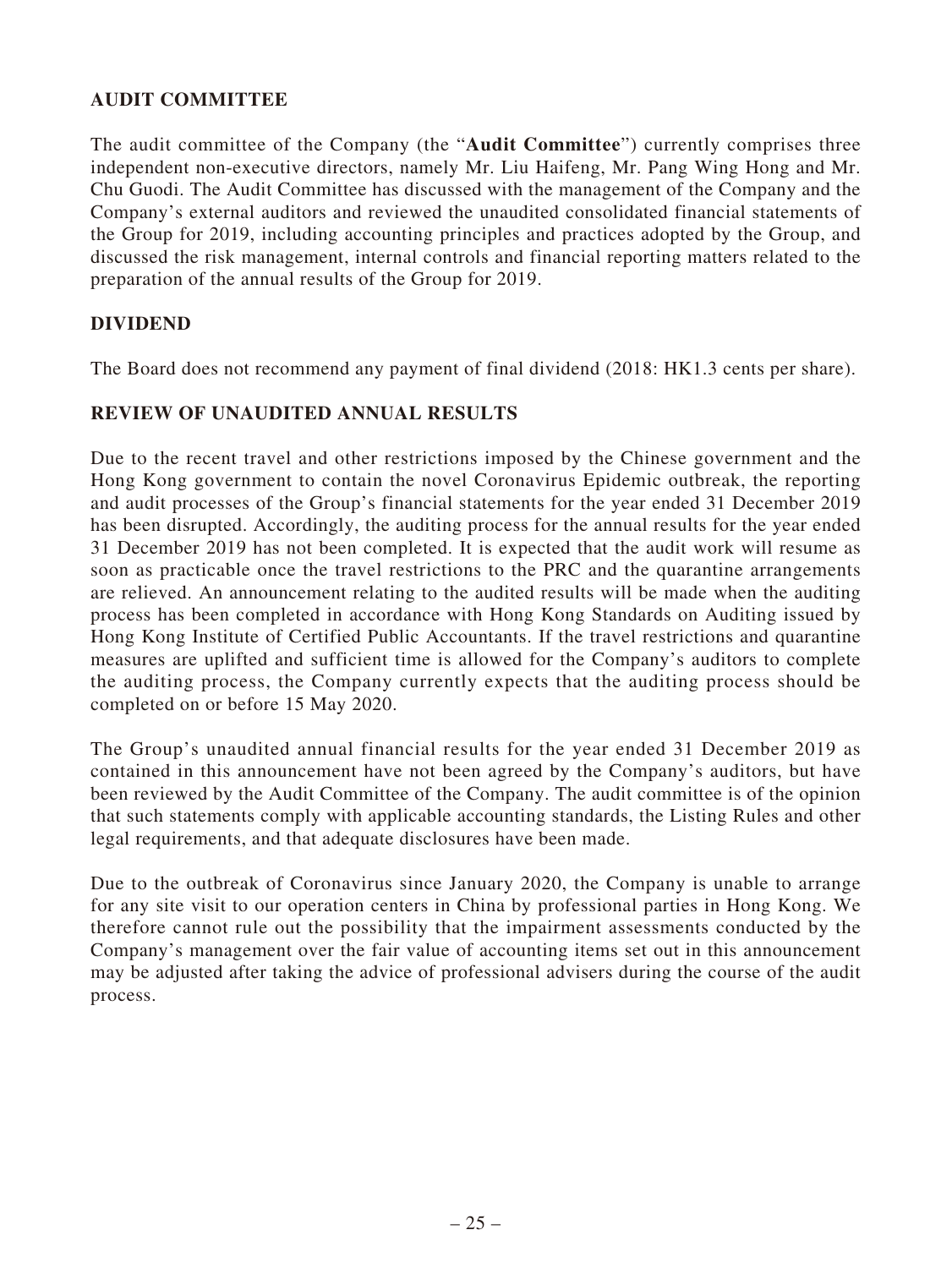# **AUDIT COMMITTEE**

The audit committee of the Company (the "**Audit Committee**") currently comprises three independent non-executive directors, namely Mr. Liu Haifeng, Mr. Pang Wing Hong and Mr. Chu Guodi. The Audit Committee has discussed with the management of the Company and the Company's external auditors and reviewed the unaudited consolidated financial statements of the Group for 2019, including accounting principles and practices adopted by the Group, and discussed the risk management, internal controls and financial reporting matters related to the preparation of the annual results of the Group for 2019.

# **DIVIDEND**

The Board does not recommend any payment of final dividend (2018: HK1.3 cents per share).

# **REVIEW OF UNAUDITED ANNUAL RESULTS**

Due to the recent travel and other restrictions imposed by the Chinese government and the Hong Kong government to contain the novel Coronavirus Epidemic outbreak, the reporting and audit processes of the Group's financial statements for the year ended 31 December 2019 has been disrupted. Accordingly, the auditing process for the annual results for the year ended 31 December 2019 has not been completed. It is expected that the audit work will resume as soon as practicable once the travel restrictions to the PRC and the quarantine arrangements are relieved. An announcement relating to the audited results will be made when the auditing process has been completed in accordance with Hong Kong Standards on Auditing issued by Hong Kong Institute of Certified Public Accountants. If the travel restrictions and quarantine measures are uplifted and sufficient time is allowed for the Company's auditors to complete the auditing process, the Company currently expects that the auditing process should be completed on or before 15 May 2020.

The Group's unaudited annual financial results for the year ended 31 December 2019 as contained in this announcement have not been agreed by the Company's auditors, but have been reviewed by the Audit Committee of the Company. The audit committee is of the opinion that such statements comply with applicable accounting standards, the Listing Rules and other legal requirements, and that adequate disclosures have been made.

Due to the outbreak of Coronavirus since January 2020, the Company is unable to arrange for any site visit to our operation centers in China by professional parties in Hong Kong. We therefore cannot rule out the possibility that the impairment assessments conducted by the Company's management over the fair value of accounting items set out in this announcement may be adjusted after taking the advice of professional advisers during the course of the audit process.